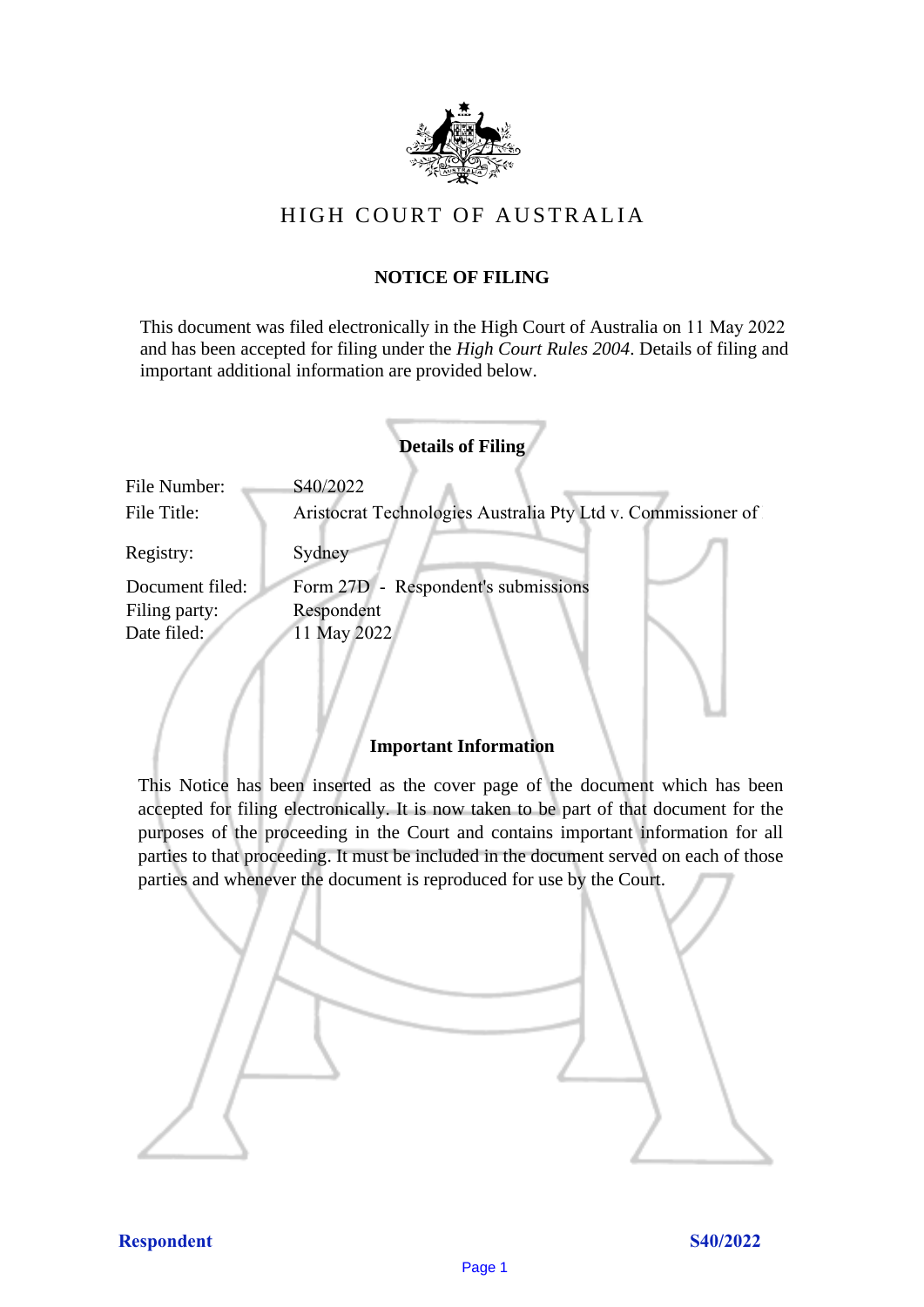

# HIGH COURT OF AUSTRALIA

## **NOTICE OF FILING**

This document was filed electronically in the High Court of Australia on 11 May 2022 and has been accepted for filing under the *High Court Rules 2004*. Details of filing and important additional information are provided below.

| <b>Details of Filing</b>    |                                                                          |
|-----------------------------|--------------------------------------------------------------------------|
| File Number:<br>File Title: | S40/2022<br>Aristocrat Technologies Australia Pty Ltd v. Commissioner of |
| Registry:                   | Sydney                                                                   |
| Document filed:             | Form 27D - Respondent's submissions                                      |
| Filing party:               | Respondent                                                               |
| Date filed:                 | 11 May 2022                                                              |
|                             |                                                                          |

# **Important Information**

This Notice has been inserted as the cover page of the document which has been accepted for filing electronically. It is now taken to be part of that document for the purposes of the proceeding in the Court and contains important information for all parties to that proceeding. It must be included in the document served on each of those parties and whenever the document is reproduced for use by the Court.

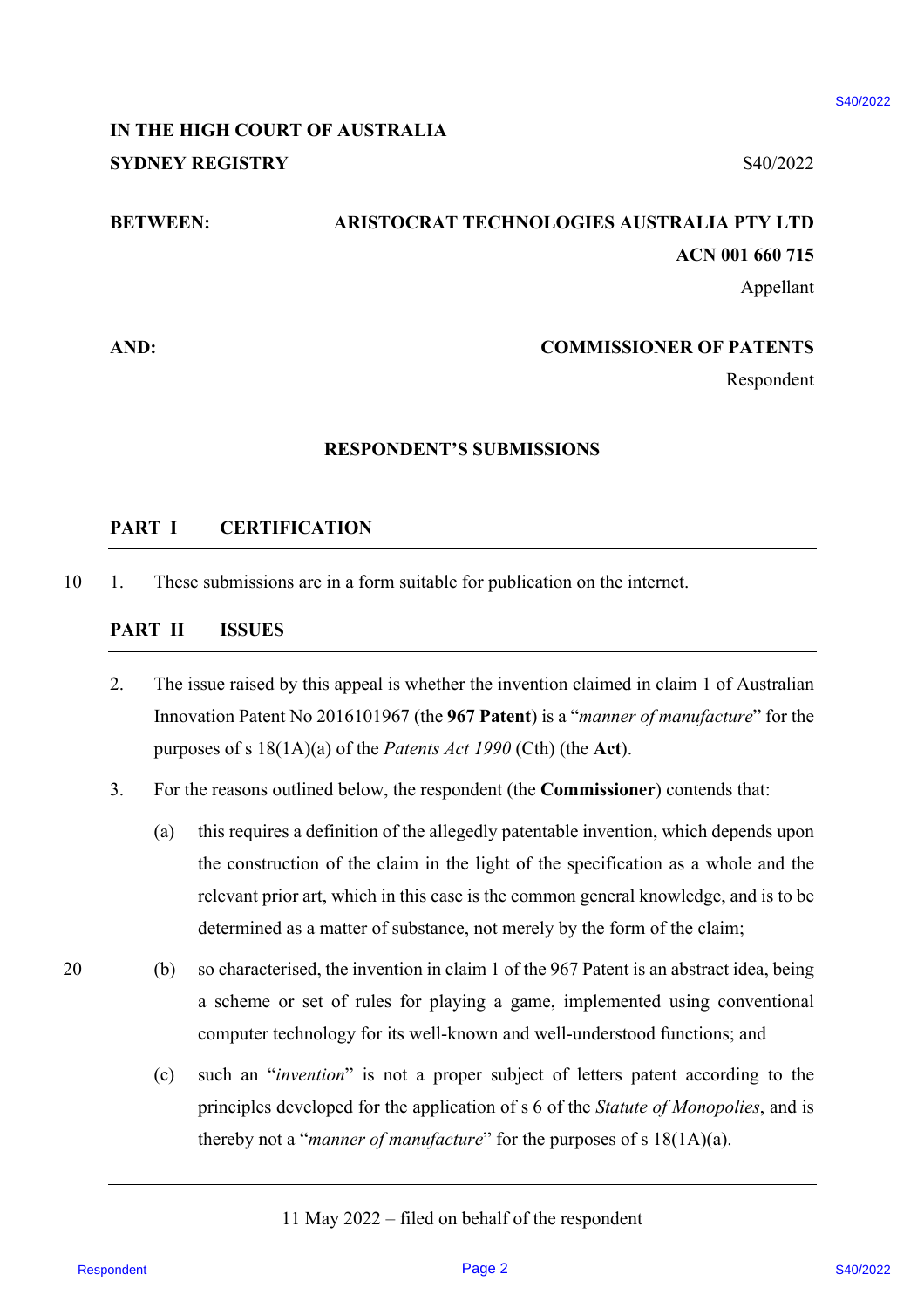# **IN THE HIGH COURT OF AUSTRALIA SYDNEY REGISTRY** S40/2022

# **BETWEEN: ARISTOCRAT TECHNOLOGIES AUSTRALIA PTY LTD ACN 001 660 715**

Appellant

### **AND: COMMISSIONER OF PATENTS**

Respondent

#### **RESPONDENT'S SUBMISSIONS**

### **PART I CERTIFICATION**

10 1. These submissions are in a form suitable for publication on the internet.

### **PART II ISSUES**

- 2. The issue raised by this appeal is whether the invention claimed in claim 1 of Australian Innovation Patent No 2016101967 (the **967 Patent**) is a "*manner of manufacture*" for the purposes of s 18(1A)(a) of the *Patents Act 1990* (Cth) (the **Act**).
- 3. For the reasons outlined below, the respondent (the **Commissioner**) contends that:
- (a) this requires a definition of the allegedly patentable invention, which depends upon the construction of the claim in the light of the specification as a whole and the relevant prior art, which in this case is the common general knowledge, and is to be determined as a matter of substance, not merely by the form of the claim; RESPONDENT IS COMMISSIONER AT EXECUTE AND SUGGEONS ARE CONSULTED SET AND SUGGEONS SUGGEONS ARE INTO A A SURFACT THE CONSULTED SET AND A SURFACT AND A SURFACT AND A SURFACT AND A SURFACT AND A SURFACT AND A SURFACT CONSULT
- 20 (b) so characterised, the invention in claim 1 of the 967 Patent is an abstract idea, being a scheme or set of rules for playing a game, implemented using conventional computer technology for its well-known and well-understood functions; and
	- (c) such an "*invention*" is not a proper subject of letters patent according to the principles developed for the application of s 6 of the *Statute of Monopolies*, and is thereby not a "*manner of manufacture*" for the purposes of s 18(1A)(a).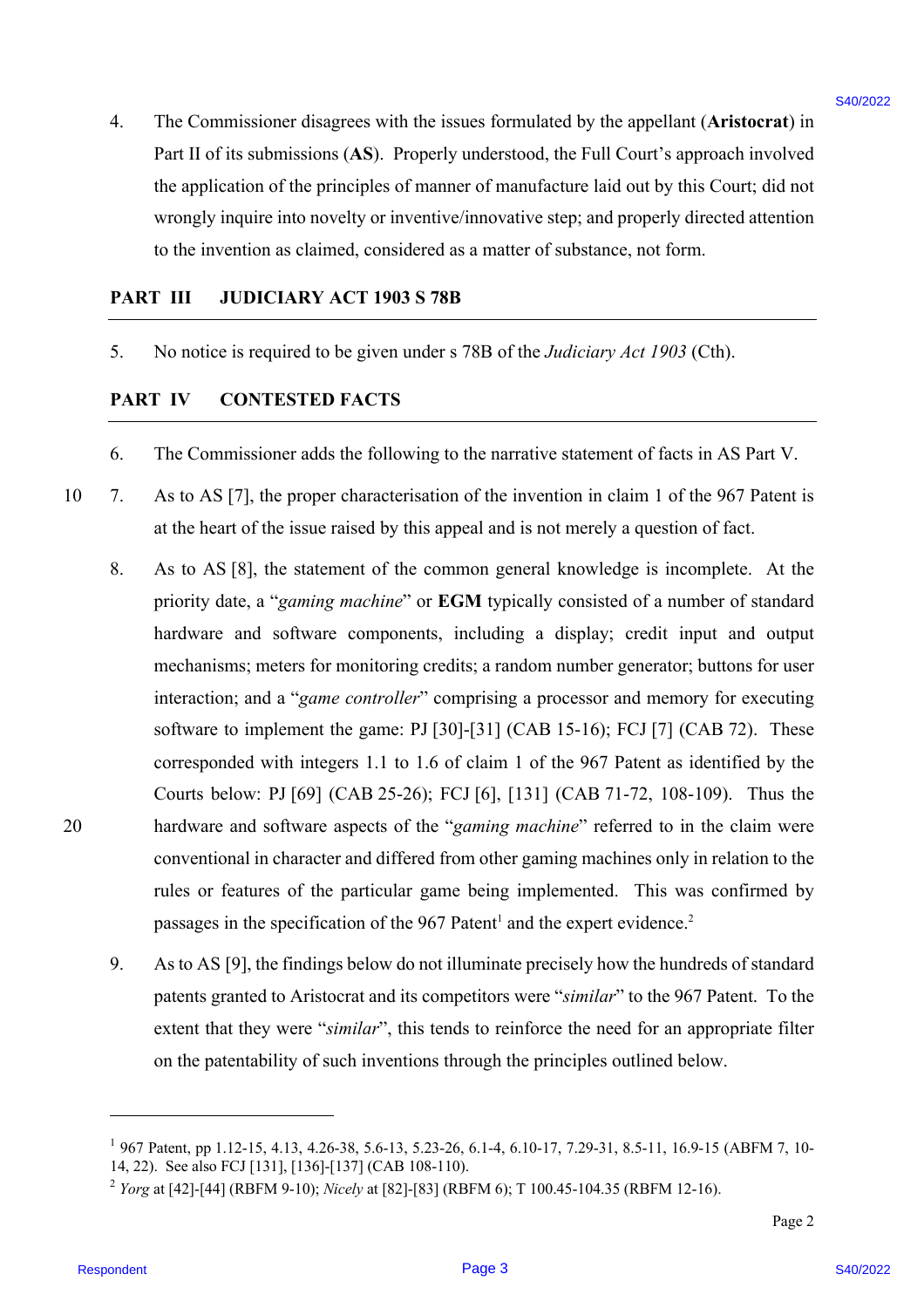4. The Commissioner disagrees with the issues formulated by the appellant (**Aristocrat**) in Part II of its submissions (**AS**). Properly understood, the Full Court's approach involved the application of the principles of manner of manufacture laid out by this Court; did not wrongly inquire into novelty or inventive/innovative step; and properly directed attention to the invention as claimed, considered as a matter of substance, not form.

#### **PART III JUDICIARY ACT 1903 S 78B**

5. No notice is required to be given under s 78B of the *Judiciary Act 1903* (Cth).

### **PART IV CONTESTED FACTS**

- 6. The Commissioner adds the following to the narrative statement of facts in AS Part V.
- 10 7. As to AS [7], the proper characterisation of the invention in claim 1 of the 967 Patent is at the heart of the issue raised by this appeal and is not merely a question of fact.
- 8. As to AS [8], the statement of the common general knowledge is incomplete. At the priority date, a "*gaming machine*" or **EGM** typically consisted of a number of standard hardware and software components, including a display; credit input and output mechanisms; meters for monitoring credits; a random number generator; buttons for user interaction; and a "*game controller*" comprising a processor and memory for executing software to implement the game: PJ [30]-[31] (CAB 15-16); FCJ [7] (CAB 72). These corresponded with integers 1.1 to 1.6 of claim 1 of the 967 Patent as identified by the Courts below: PJ [69] (CAB 25-26); FCJ [6], [131] (CAB 71-72, 108-109). Thus the 20 hardware and software aspects of the "*gaming machine*" referred to in the claim were conventional in character and differed from other gaming machines only in relation to the rules or features of the particular game being implemented. This was confirmed by passages in the specification of the  $967$  Patent<sup>1</sup> and the expert evidence.<sup>2</sup> 4. The Commissioner dissiplers with the issues formulated by the appellant (Aristovend in  $\text{Part}(1)$  of the simple simple state of the proplement (AS). Properly substituted the bitti Cost's appellant (Aristovend in the sim
	- 9. As to AS [9], the findings below do not illuminate precisely how the hundreds of standard patents granted to Aristocrat and its competitors were "*similar*" to the 967 Patent. To the extent that they were "*similar*", this tends to reinforce the need for an appropriate filter on the patentability of such inventions through the principles outlined below.

<sup>1</sup> 967 Patent, pp 1.12-15, 4.13, 4.26-38, 5.6-13, 5.23-26, 6.1-4, 6.10-17, 7.29-31, 8.5-11, 16.9-15 (ABFM 7, 10- 14, 22). See also FCJ [131], [136]-[137] (CAB 108-110).

<sup>2</sup> *Yorg* at [42]-[44] (RBFM 9-10); *Nicely* at [82]-[83] (RBFM 6); T 100.45-104.35 (RBFM 12-16).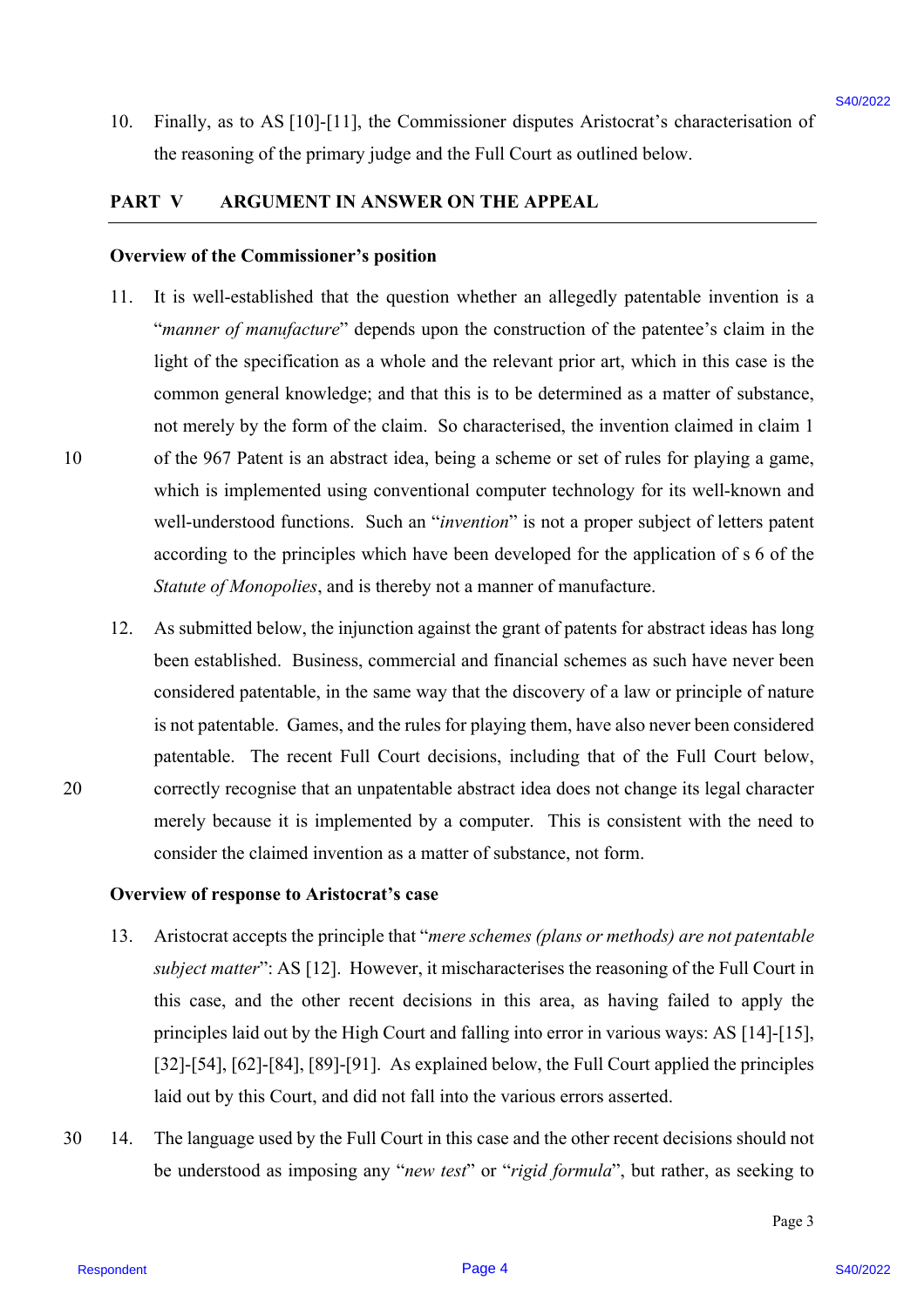10. Finally, as to AS [10]-[11], the Commissioner disputes Aristocrat's characterisation of the reasoning of the primary judge and the Full Court as outlined below.

#### **PART V ARGUMENT IN ANSWER ON THE APPEAL**

#### **Overview of the Commissioner's position**

- 11. It is well-established that the question whether an allegedly patentable invention is a "*manner of manufacture*" depends upon the construction of the patentee's claim in the light of the specification as a whole and the relevant prior art, which in this case is the common general knowledge; and that this is to be determined as a matter of substance, not merely by the form of the claim. So characterised, the invention claimed in claim 1 10 of the 967 Patent is an abstract idea, being a scheme or set of rules for playing a game, which is implemented using conventional computer technology for its well-known and well-understood functions. Such an "*invention*" is not a proper subject of letters patent according to the principles which have been developed for the application of s 6 of the *Statute of Monopolies*, and is thereby not a manner of manufacture. 10. Titally, as to AS [10]-[11], the Commissioner disputes Aristocrat's characteristics of<br>the vensoring of the privary judge and the Full Court as calibral below.<br> **PART V ABCONDENTEY RESPONDENT TO ALSE APPEAL**<br> **DETER**
- 12. As submitted below, the injunction against the grant of patents for abstract ideas has long been established. Business, commercial and financial schemes as such have never been considered patentable, in the same way that the discovery of a law or principle of nature is not patentable. Games, and the rules for playing them, have also never been considered patentable. The recent Full Court decisions, including that of the Full Court below, 20 correctly recognise that an unpatentable abstract idea does not change its legal character merely because it is implemented by a computer. This is consistent with the need to consider the claimed invention as a matter of substance, not form.

#### **Overview of response to Aristocrat's case**

- 13. Aristocrat accepts the principle that "*mere schemes (plans or methods) are not patentable subject matter*": AS [12]. However, it mischaracterises the reasoning of the Full Court in this case, and the other recent decisions in this area, as having failed to apply the principles laid out by the High Court and falling into error in various ways: AS [14]-[15], [32]-[54], [62]-[84], [89]-[91]. As explained below, the Full Court applied the principles laid out by this Court, and did not fall into the various errors asserted.
- 30 14. The language used by the Full Court in this case and the other recent decisions should not be understood as imposing any "*new test*" or "*rigid formula*", but rather, as seeking to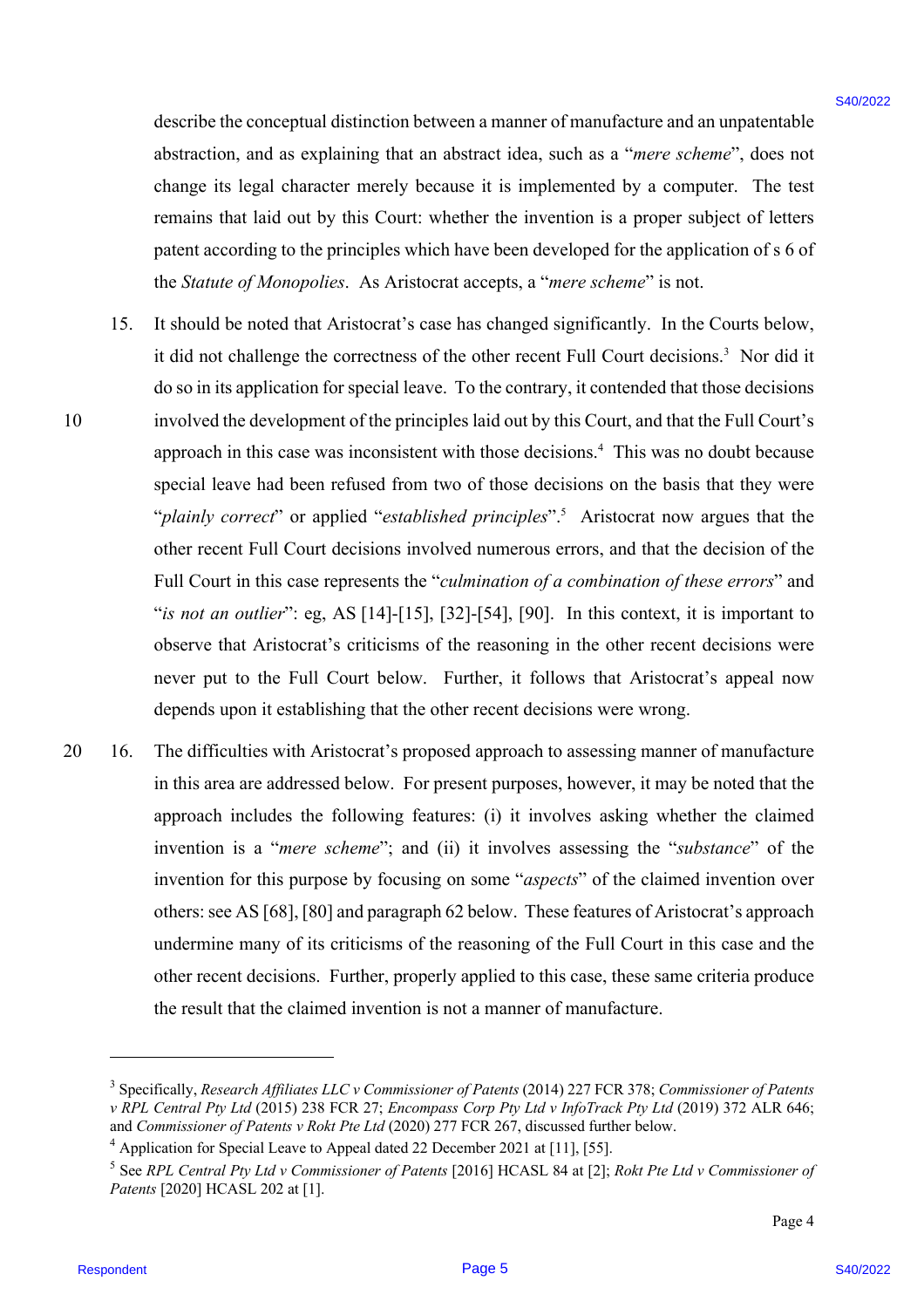describe the conceptual distinction between a manner of manufacture and an unpatentable abstraction, and as explaining that an abstract idea, such as a "*mere scheme*", does not change its legal character merely because it is implemented by a computer. The test remains that laid out by this Court: whether the invention is a proper subject of letters patent according to the principles which have been developed for the application of s 6 of the *Statute of Monopolies*. As Aristocrat accepts, a "*mere scheme*" is not.

- 15. It should be noted that Aristocrat's case has changed significantly. In the Courts below, it did not challenge the correctness of the other recent Full Court decisions. 3 Nor did it do so in its application for special leave. To the contrary, it contended that those decisions 10 involved the development of the principles laid out by this Court, and that the Full Court's approach in this case was inconsistent with those decisions. <sup>4</sup> This was no doubt because special leave had been refused from two of those decisions on the basis that they were "*plainly correct*" or applied "*established principles*". 5 Aristocrat now argues that the other recent Full Court decisions involved numerous errors, and that the decision of the Full Court in this case represents the "*culmination of a combination of these errors*" and "*is not an outlier*": eg, AS [14]-[15], [32]-[54], [90]. In this context, it is important to observe that Aristocrat's criticisms of the reasoning in the other recent decisions were never put to the Full Court below. Further, it follows that Aristocrat's appeal now depends upon it establishing that the other recent decisions were wrong. describe the conceptual distinction between a memori of transmission and an uppentable<br>absorbation, while equilibrium but an universal idea, used as  $\approx 2$  word, where  $\approx 4$  word with  $\approx 4$  word with  $\approx 4$  word with  $\$
- 20 16. The difficulties with Aristocrat's proposed approach to assessing manner of manufacture in this area are addressed below. For present purposes, however, it may be noted that the approach includes the following features: (i) it involves asking whether the claimed invention is a "*mere scheme*"; and (ii) it involves assessing the "*substance*" of the invention for this purpose by focusing on some "*aspects*" of the claimed invention over others: see AS [68], [80] and paragraph 62 below. These features of Aristocrat's approach undermine many of its criticisms of the reasoning of the Full Court in this case and the other recent decisions. Further, properly applied to this case, these same criteria produce the result that the claimed invention is not a manner of manufacture.

<sup>3</sup> Specifically, *Research Affiliates LLC v Commissioner of Patents* (2014) 227 FCR 378; *Commissioner of Patents v RPL Central Pty Ltd* (2015) 238 FCR 27; *Encompass Corp Pty Ltd v InfoTrack Pty Ltd* (2019) 372 ALR 646; and *Commissioner of Patents v Rokt Pte Ltd* (2020) 277 FCR 267, discussed further below.

<sup>&</sup>lt;sup>4</sup> Application for Special Leave to Appeal dated 22 December 2021 at [11], [55].

<sup>5</sup> See *RPL Central Pty Ltd v Commissioner of Patents* [2016] HCASL 84 at [2]; *Rokt Pte Ltd v Commissioner of Patents* [2020] HCASL 202 at [1].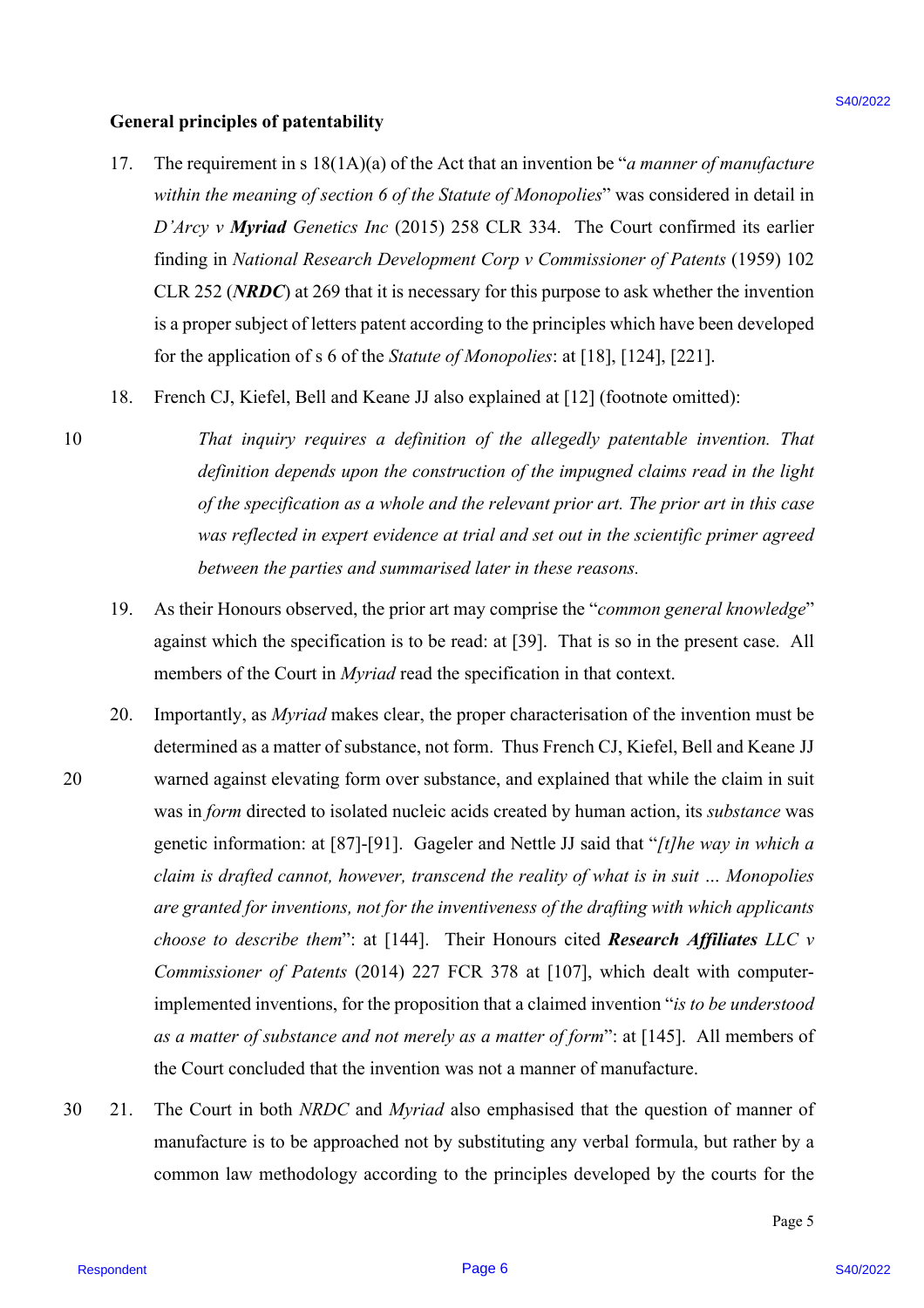#### **General principles of patentability**

- 17. The requirement in s 18(1A)(a) of the Act that an invention be "*a manner of manufacture within the meaning of section 6 of the Statute of Monopolies*" was considered in detail in *D'Arcy v Myriad Genetics Inc* (2015) 258 CLR 334. The Court confirmed its earlier finding in *National Research Development Corp v Commissioner of Patents* (1959) 102 CLR 252 (*NRDC*) at 269 that it is necessary for this purpose to ask whether the invention is a proper subject of letters patent according to the principles which have been developed for the application of s 6 of the *Statute of Monopolies*: at [18], [124], [221].
- 18. French CJ, Kiefel, Bell and Keane JJ also explained at [12] (footnote omitted):
- 10 *That inquiry requires a definition of the allegedly patentable invention. That definition depends upon the construction of the impugned claims read in the light of the specification as a whole and the relevant prior art. The prior art in this case was reflected in expert evidence at trial and set out in the scientific primer agreed between the parties and summarised later in these reasons.*
	- 19. As their Honours observed, the prior art may comprise the "*common general knowledge*" against which the specification is to be read: at [39]. That is so in the present case. All members of the Court in *Myriad* read the specification in that context.
- 20. Importantly, as *Myriad* makes clear, the proper characterisation of the invention must be determined as a matter of substance, not form. Thus French CJ, Kiefel, Bell and Keane JJ 20 warned against elevating form over substance, and explained that while the claim in suit was in *form* directed to isolated nucleic acids created by human action, its *substance* was genetic information: at [87]-[91]. Gageler and Nettle JJ said that "*[t]he way in which a claim is drafted cannot, however, transcend the reality of what is in suit … Monopolies are granted for inventions, not for the inventiveness of the drafting with which applicants choose to describe them*": at [144]. Their Honours cited *Research Affiliates LLC v Commissioner of Patents* (2014) 227 FCR 378 at [107], which dealt with computerimplemented inventions, for the proposition that a claimed invention "*is to be understood as a matter of substance and not merely as a matter of form*": at [145]. All members of the Court concluded that the invention was not a manner of manufacture. Concert principles of partentability<br>
17. The requirements in M(A)(a) of the Act that an investigate "on anoner of monotographs"<br>
17. The requirements in M(A)(a) of the Sotner of Monopolise" was consistented in the<br>
17. T
- 30 21. The Court in both *NRDC* and *Myriad* also emphasised that the question of manner of manufacture is to be approached not by substituting any verbal formula, but rather by a common law methodology according to the principles developed by the courts for the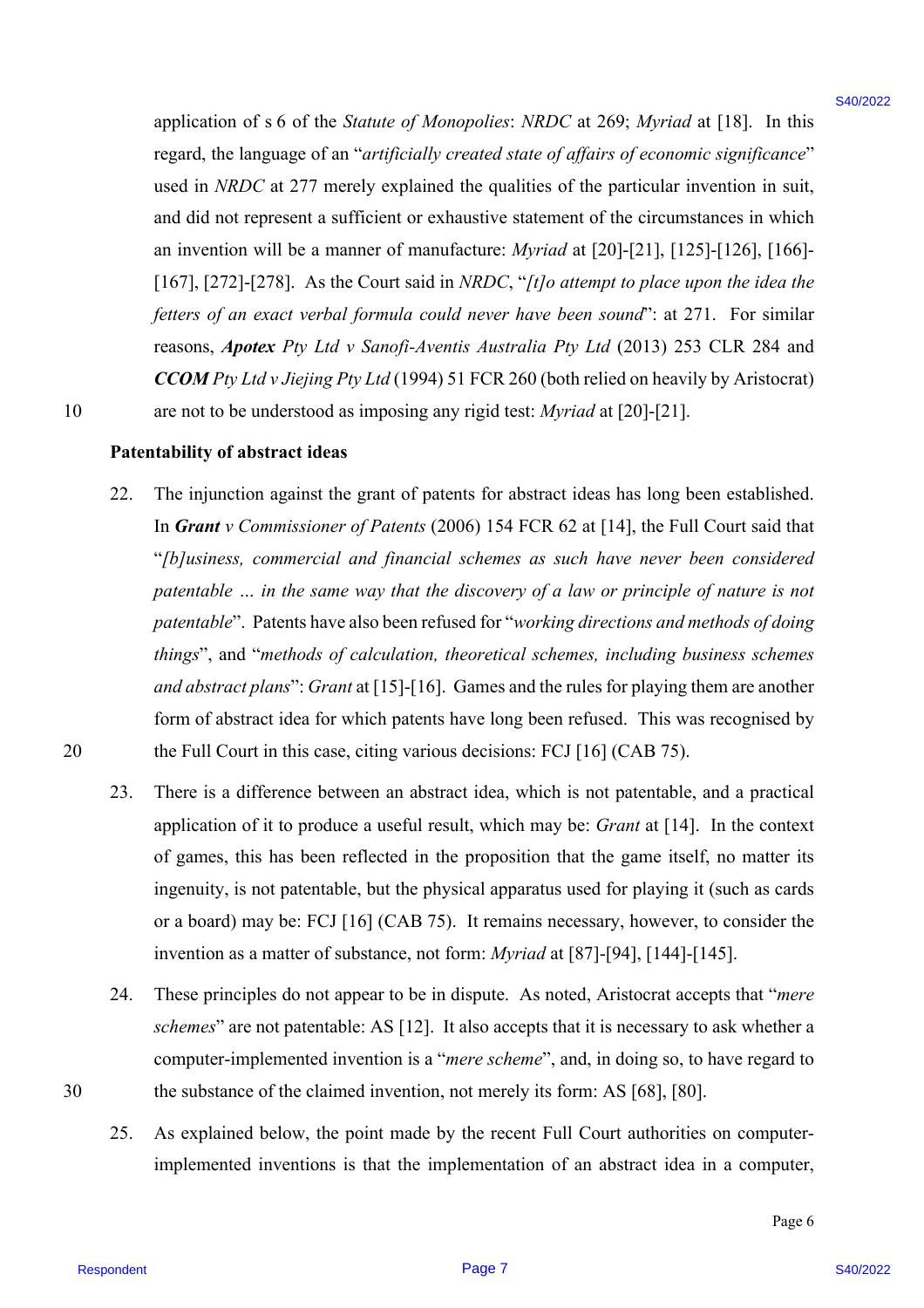application of s 6 of the *Statute of Monopolies*: *NRDC* at 269; *Myriad* at [18]. In this regard, the language of an "*artificially created state of affairs of economic significance*" used in *NRDC* at 277 merely explained the qualities of the particular invention in suit, and did not represent a sufficient or exhaustive statement of the circumstances in which an invention will be a manner of manufacture: *Myriad* at [20]-[21], [125]-[126], [166]- [167], [272]-[278]. As the Court said in *NRDC*, "*[t]o attempt to place upon the idea the fetters of an exact verbal formula could never have been sound*": at 271. For similar reasons, *Apotex Pty Ltd v Sanofi-Aventis Australia Pty Ltd* (2013) 253 CLR 284 and *CCOM Pty Ltd v Jiejing Pty Ltd* (1994) 51 FCR 260 (both relied on heavily by Aristocrat) 10 are not to be understood as imposing any rigid test: *Myriad* at [20]-[21]. application of s 6 of the Sontar of Monopoles: NRDC at 289; Aforical at 118}. In this user, the large<br>respect, the large tart "arcifical airest state of digitary of acconomics objects of a<br>suitable state is a suitable to

#### **Patentability of abstract ideas**

- 22. The injunction against the grant of patents for abstract ideas has long been established. In *Grant v Commissioner of Patents* (2006) 154 FCR 62 at [14], the Full Court said that "*[b]usiness, commercial and financial schemes as such have never been considered patentable … in the same way that the discovery of a law or principle of nature is not patentable*". Patents have also been refused for "*working directions and methods of doing things*", and "*methods of calculation, theoretical schemes, including business schemes and abstract plans*": *Grant* at [15]-[16]. Games and the rules for playing them are another form of abstract idea for which patents have long been refused. This was recognised by 20 the Full Court in this case, citing various decisions: FCJ [16] (CAB 75).
	- 23. There is a difference between an abstract idea, which is not patentable, and a practical application of it to produce a useful result, which may be: *Grant* at [14]. In the context of games, this has been reflected in the proposition that the game itself, no matter its ingenuity, is not patentable, but the physical apparatus used for playing it (such as cards or a board) may be: FCJ [16] (CAB 75). It remains necessary, however, to consider the invention as a matter of substance, not form: *Myriad* at [87]-[94], [144]-[145].
- 24. These principles do not appear to be in dispute. As noted, Aristocrat accepts that "*mere schemes*" are not patentable: AS [12]. It also accepts that it is necessary to ask whether a computer-implemented invention is a "*mere scheme*", and, in doing so, to have regard to 30 the substance of the claimed invention, not merely its form: AS [68], [80].
	- 25. As explained below, the point made by the recent Full Court authorities on computerimplemented inventions is that the implementation of an abstract idea in a computer,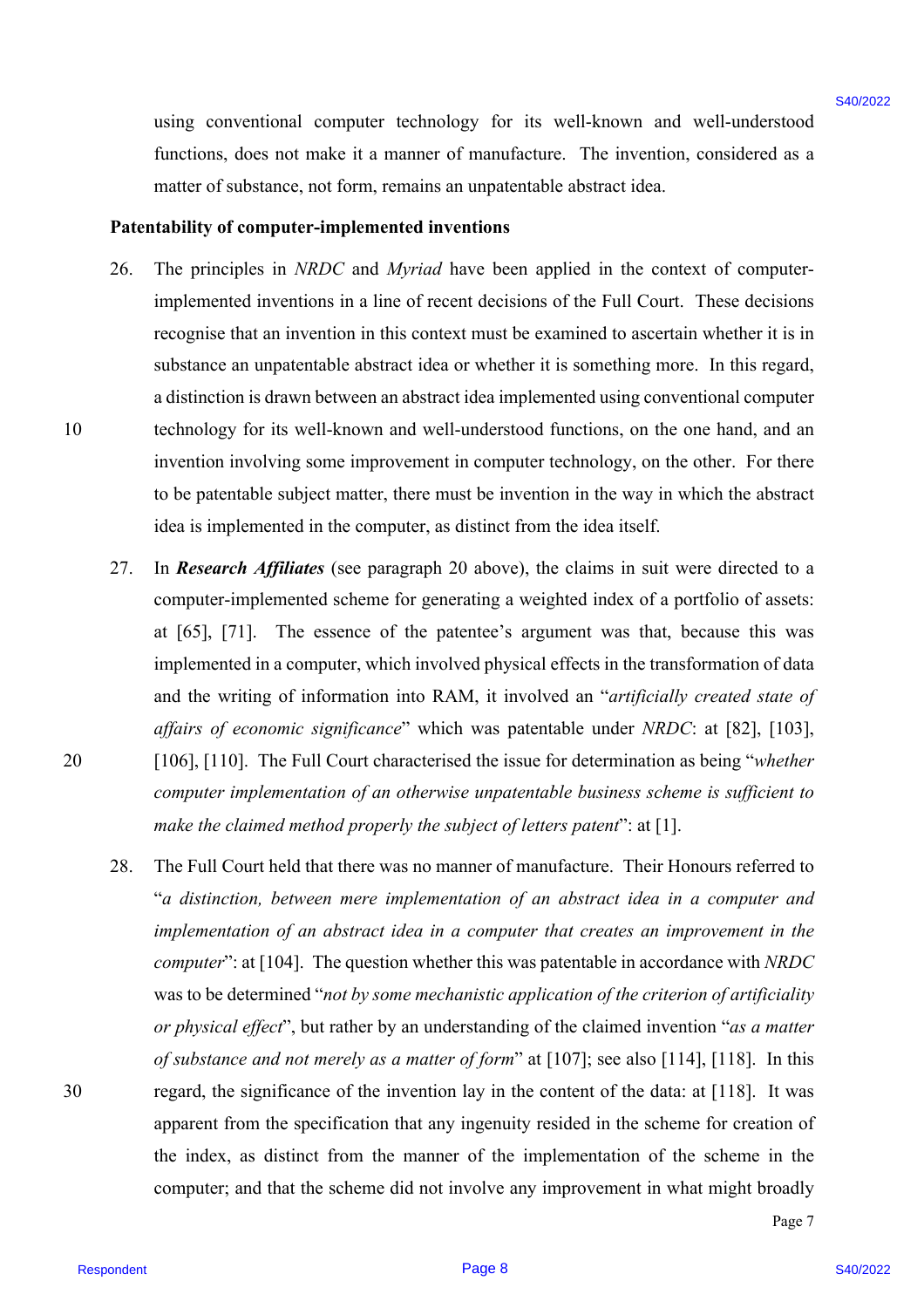using conventional computer technology for its well-known and well-understood functions, does not make it a manner of manufacture. The invention, considered as a matter of substance, not form, remains an unpatentable abstract idea.

#### **Patentability of computer-implemented inventions**

- 26. The principles in *NRDC* and *Myriad* have been applied in the context of computerimplemented inventions in a line of recent decisions of the Full Court. These decisions recognise that an invention in this context must be examined to ascertain whether it is in substance an unpatentable abstract idea or whether it is something more. In this regard, a distinction is drawn between an abstract idea implemented using conventional computer 10 technology for its well-known and well-understood functions, on the one hand, and an invention involving some improvement in computer technology, on the other. For there to be patentable subject matter, there must be invention in the way in which the abstract idea is implemented in the computer, as distinct from the idea itself.
- 27. In *Research Affiliates* (see paragraph 20 above), the claims in suit were directed to a computer-implemented scheme for generating a weighted index of a portfolio of assets: at [65], [71]. The essence of the patentee's argument was that, because this was implemented in a computer, which involved physical effects in the transformation of data and the writing of information into RAM, it involved an "*artificially created state of affairs of economic significance*" which was patentable under *NRDC*: at [82], [103], 20 [106], [110]. The Full Court characterised the issue for determination as being "*whether computer implementation of an otherwise unpatentable business scheme is sufficient to make the claimed method properly the subject of letters patent*": at [1].
- 28. The Full Court held that there was no manner of manufacture. Their Honours referred to "*a distinction, between mere implementation of an abstract idea in a computer and implementation of an abstract idea in a computer that creates an improvement in the computer*": at [104]. The question whether this was patentable in accordance with *NRDC* was to be determined "*not by some mechanistic application of the criterion of artificiality or physical effect*", but rather by an understanding of the claimed invention "*as a matter of substance and not merely as a matter of form*" at [107]; see also [114], [118]. In this 30 regard, the significance of the invention lay in the content of the data: at [118]. It was apparent from the specification that any ingenuity resided in the scheme for creation of the index, as distinct from the manner of the implementation of the scheme in the computer; and that the scheme did not involve any improvement in what might broadly sing conventional computer technology for its vell-known and well-anders<br>confusione in the value is a memorial of material controller the meteories<br>of method, a decrease and the signal controller the meteories positive<br>an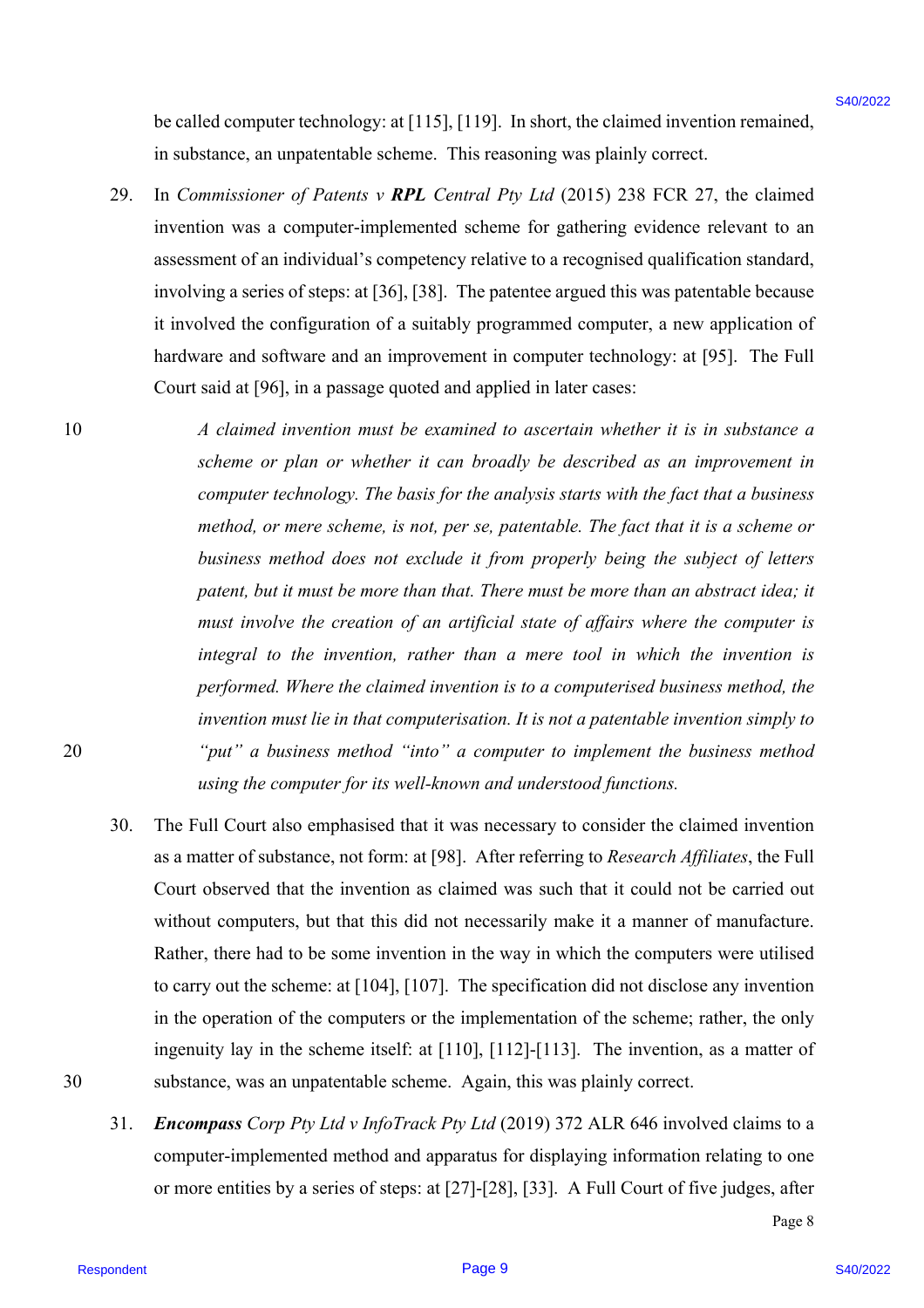be called computer technology: at [115], [119]. In short, the claimed invention remained, in substance, an unpatentable scheme. This reasoning was plainly correct.

- 29. In *Commissioner of Patents v RPL Central Pty Ltd* (2015) 238 FCR 27, the claimed invention was a computer-implemented scheme for gathering evidence relevant to an assessment of an individual's competency relative to a recognised qualification standard, involving a series of steps: at [36], [38]. The patentee argued this was patentable because it involved the configuration of a suitably programmed computer, a new application of hardware and software and an improvement in computer technology: at [95]. The Full Court said at [96], in a passage quoted and applied in later cases:
- 10 *A claimed invention must be examined to ascertain whether it is in substance a scheme or plan or whether it can broadly be described as an improvement in computer technology. The basis for the analysis starts with the fact that a business method, or mere scheme, is not, per se, patentable. The fact that it is a scheme or business method does not exclude it from properly being the subject of letters patent, but it must be more than that. There must be more than an abstract idea; it must involve the creation of an artificial state of affairs where the computer is integral to the invention, rather than a mere tool in which the invention is performed. Where the claimed invention is to a computerised business method, the invention must lie in that computerisation. It is not a patentable invention simply to*  20 *"put" a business method "into" a computer to implement the business method using the computer for its well-known and understood functions.* be antibe computer technology in [115], [119] in short, the claimed investion remained,<br>
in sub-since, an investigated be shore. This reasseme year pluring the set of the state of the state of the state of the state of th
- 30. The Full Court also emphasised that it was necessary to consider the claimed invention as a matter of substance, not form: at [98]. After referring to *Research Affiliates*, the Full Court observed that the invention as claimed was such that it could not be carried out without computers, but that this did not necessarily make it a manner of manufacture. Rather, there had to be some invention in the way in which the computers were utilised to carry out the scheme: at [104], [107]. The specification did not disclose any invention in the operation of the computers or the implementation of the scheme; rather, the only ingenuity lay in the scheme itself: at [110], [112]-[113]. The invention, as a matter of 30 substance, was an unpatentable scheme. Again, this was plainly correct.
	- 31. *Encompass Corp Pty Ltd v InfoTrack Pty Ltd* (2019) 372 ALR 646 involved claims to a computer-implemented method and apparatus for displaying information relating to one or more entities by a series of steps: at [27]-[28], [33]. A Full Court of five judges, after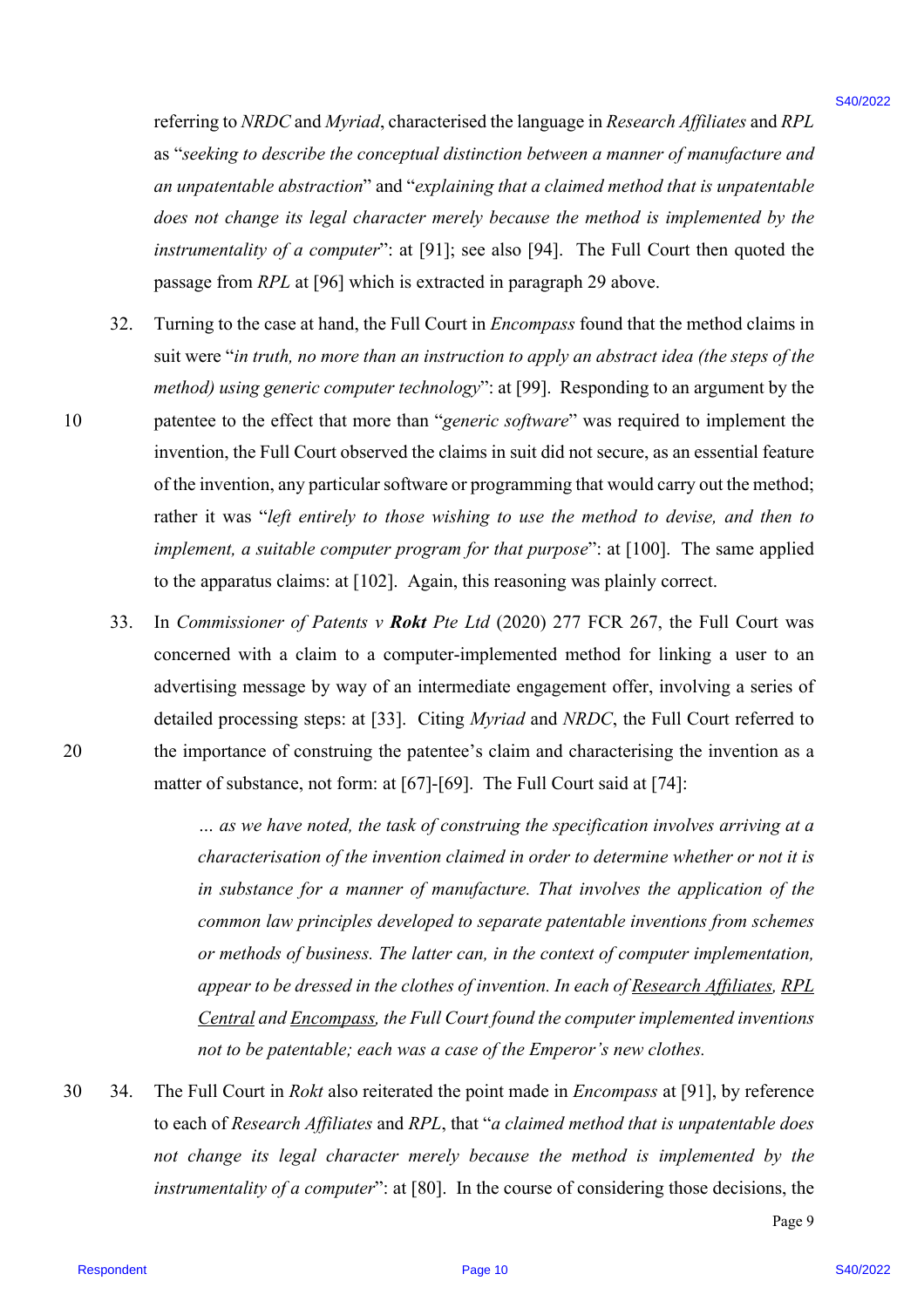referring to *NRDC* and *Myriad*, characterised the language in *Research Affiliates* and *RPL* as "*seeking to describe the conceptual distinction between a manner of manufacture and an unpatentable abstraction*" and "*explaining that a claimed method that is unpatentable does not change its legal character merely because the method is implemented by the instrumentality of a computer*": at [91]; see also [94]. The Full Court then quoted the passage from *RPL* at [96] which is extracted in paragraph 29 above.

- 32. Turning to the case at hand, the Full Court in *Encompass* found that the method claims in suit were "*in truth, no more than an instruction to apply an abstract idea (the steps of the method) using generic computer technology*": at [99]. Responding to an argument by the 10 patentee to the effect that more than "*generic software*" was required to implement the invention, the Full Court observed the claims in suit did not secure, as an essential feature of the invention, any particular software or programming that would carry out the method; rather it was "*left entirely to those wishing to use the method to devise, and then to implement, a suitable computer program for that purpose*": at [100]. The same applied to the apparatus claims: at [102]. Again, this reasoning was plainly correct. relearing to NRDC and Myrnot, characterized the language in Research Affilioters and RPL<br>  $x^2$  -version to decrease the concepted distolution behoven a measure of panel distolution and the concepted distort and the conce
- 33. In *Commissioner of Patents v Rokt Pte Ltd* (2020) 277 FCR 267, the Full Court was concerned with a claim to a computer-implemented method for linking a user to an advertising message by way of an intermediate engagement offer, involving a series of detailed processing steps: at [33]. Citing *Myriad* and *NRDC*, the Full Court referred to 20 the importance of construing the patentee's claim and characterising the invention as a matter of substance, not form: at [67]-[69]. The Full Court said at [74]:

*… as we have noted, the task of construing the specification involves arriving at a characterisation of the invention claimed in order to determine whether or not it is in substance for a manner of manufacture. That involves the application of the common law principles developed to separate patentable inventions from schemes or methods of business. The latter can, in the context of computer implementation, appear to be dressed in the clothes of invention. In each of Research Affıliates, RPL Central and Encompass, the Full Court found the computer implemented inventions not to be patentable; each was a case of the Emperor's new clothes.*

30 34. The Full Court in *Rokt* also reiterated the point made in *Encompass* at [91], by reference to each of *Research Affiliates* and *RPL*, that "*a claimed method that is unpatentable does*  not change its legal character merely because the method is implemented by the *instrumentality of a computer*": at [80]. In the course of considering those decisions, the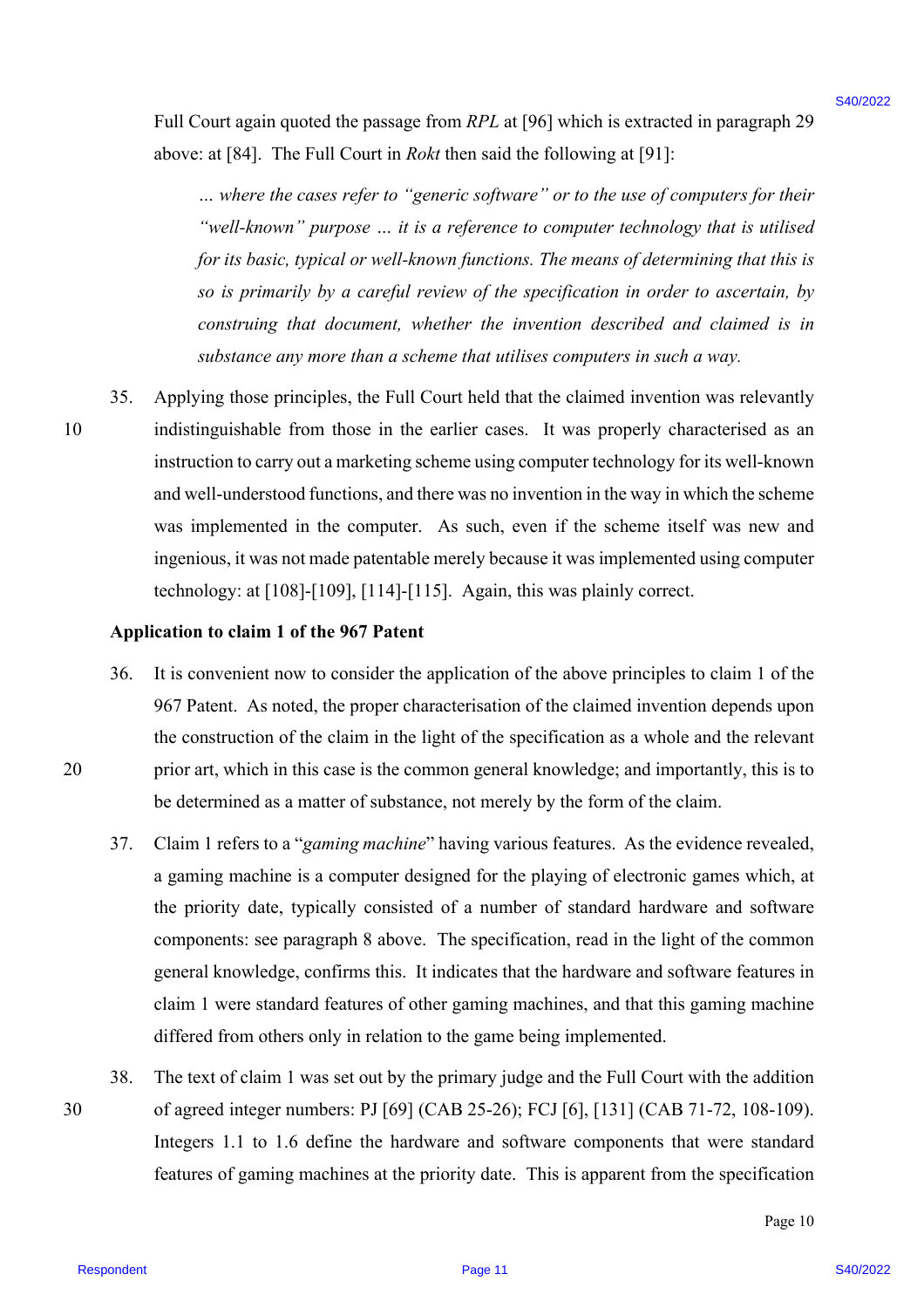Full Court again quoted the passage from *RPL* at [96] which is extracted in paragraph 29 above: at [84]. The Full Court in *Rokt* then said the following at [91]:

*… where the cases refer to "generic software" or to the use of computers for their "well-known" purpose … it is a reference to computer technology that is utilised for its basic, typical or well-known functions. The means of determining that this is so is primarily by a careful review of the specification in order to ascertain, by construing that document, whether the invention described and claimed is in substance any more than a scheme that utilises computers in such a way.*

35. Applying those principles, the Full Court held that the claimed invention was relevantly 10 indistinguishable from those in the earlier cases. It was properly characterised as an instruction to carry out a marketing scheme using computer technology for its well-known and well-understood functions, and there was no invention in the way in which the scheme was implemented in the computer. As such, even if the scheme itself was new and ingenious, it was not made patentable merely because it was implemented using computer technology: at [108]-[109], [114]-[115]. Again, this was plainly correct. Full Court again quoted the possage from *RPL* at (36) which is extracted to paragona 28<br>
above: all  $54\%$  Fe ki al Court *w*. *Hole* the suid by the fille from the signal page 11) the court of the signal control in the

#### **Application to claim 1 of the 967 Patent**

- 36. It is convenient now to consider the application of the above principles to claim 1 of the 967 Patent. As noted, the proper characterisation of the claimed invention depends upon the construction of the claim in the light of the specification as a whole and the relevant 20 prior art, which in this case is the common general knowledge; and importantly, this is to be determined as a matter of substance, not merely by the form of the claim.
	- 37. Claim 1 refers to a "*gaming machine*" having various features. As the evidence revealed, a gaming machine is a computer designed for the playing of electronic games which, at the priority date, typically consisted of a number of standard hardware and software components: see paragraph 8 above. The specification, read in the light of the common general knowledge, confirms this. It indicates that the hardware and software features in claim 1 were standard features of other gaming machines, and that this gaming machine differed from others only in relation to the game being implemented.
- 38. The text of claim 1 was set out by the primary judge and the Full Court with the addition 30 of agreed integer numbers: PJ [69] (CAB 25-26); FCJ [6], [131] (CAB 71-72, 108-109). Integers 1.1 to 1.6 define the hardware and software components that were standard features of gaming machines at the priority date. This is apparent from the specification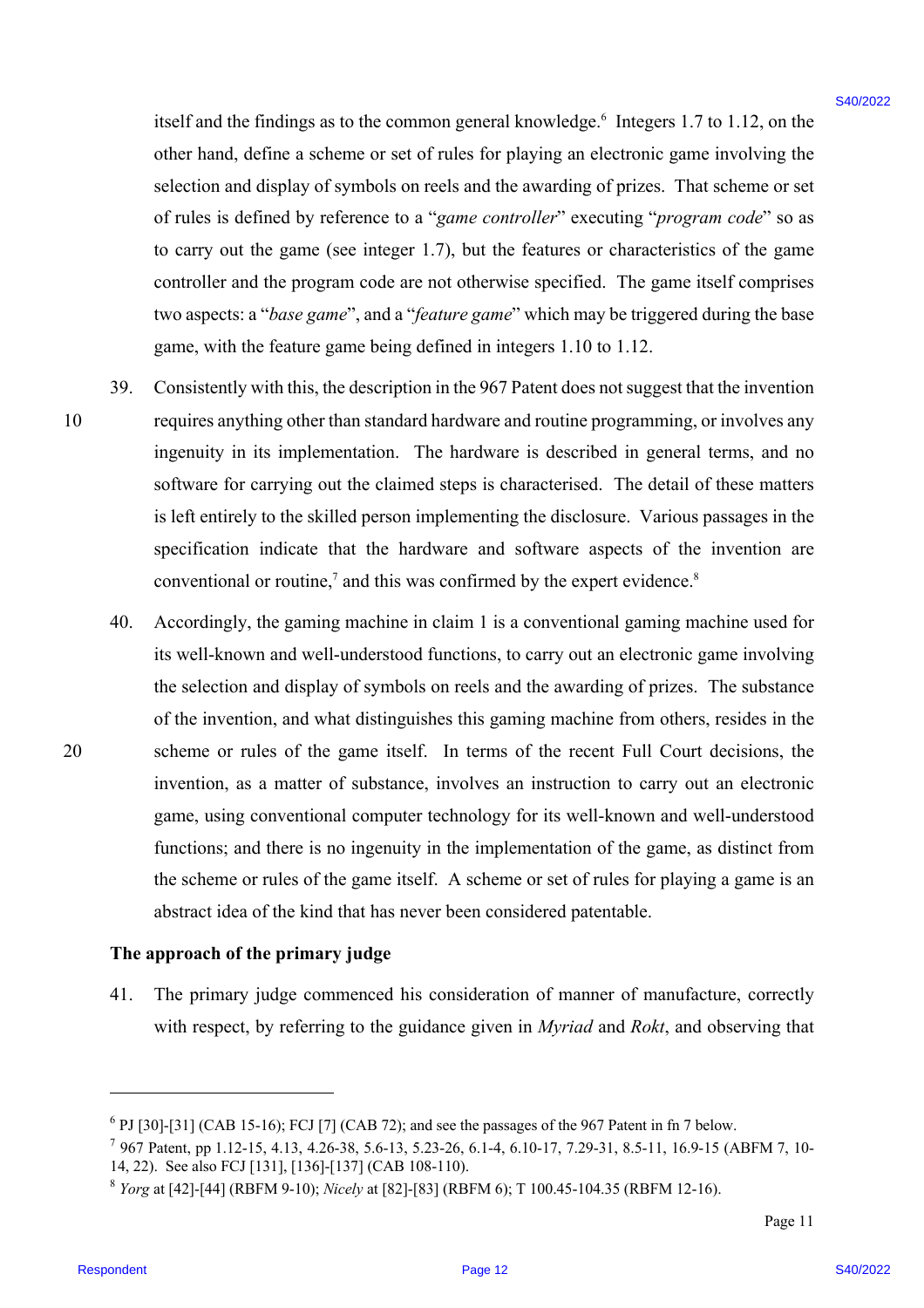itself and the findings as to the common general knowledge.<sup>6</sup> Integers 1.7 to 1.12, on the other hand, define a scheme or set of rules for playing an electronic game involving the selection and display of symbols on reels and the awarding of prizes. That scheme or set of rules is defined by reference to a "*game controller*" executing "*program code*" so as to carry out the game (see integer 1.7), but the features or characteristics of the game controller and the program code are not otherwise specified. The game itself comprises two aspects: a "*base game*", and a "*feature game*" which may be triggered during the base game, with the feature game being defined in integers 1.10 to 1.12.

- 39. Consistently with this, the description in the 967 Patent does not suggest that the invention 10 requires anything other than standard hardware and routine programming, or involves any ingenuity in its implementation. The hardware is described in general terms, and no software for carrying out the claimed steps is characterised. The detail of these matters is left entirely to the skilled person implementing the disclosure. Various passages in the specification indicate that the hardware and software aspects of the invention are conventional or routine,<sup>7</sup> and this was confirmed by the expert evidence.<sup>8</sup>
- 40. Accordingly, the gaming machine in claim 1 is a conventional gaming machine used for its well-known and well-understood functions, to carry out an electronic game involving the selection and display of symbols on reels and the awarding of prizes. The substance of the invention, and what distinguishes this gaming machine from others, resides in the 20 scheme or rules of the game itself. In terms of the recent Full Court decisions, the invention, as a matter of substance, involves an instruction to carry out an electronic game, using conventional computer technology for its well-known and well-understood functions; and there is no ingenuity in the implementation of the game, as distinct from the scheme or rules of the game itself. A scheme or set of rules for playing a game is an abstract idea of the kind that has never been considered patentable. istell mad the findings as to the common general knowledge.<sup>1</sup> Integers 1.7 to 112, on the column state of the proparities and the proparities and estimate integer based on the following the based of the simulation in the

#### **The approach of the primary judge**

41. The primary judge commenced his consideration of manner of manufacture, correctly with respect, by referring to the guidance given in *Myriad* and *Rokt*, and observing that

 $6$  PJ [30]-[31] (CAB 15-16); FCJ [7] (CAB 72); and see the passages of the 967 Patent in fn 7 below.

<sup>7</sup> 967 Patent, pp 1.12-15, 4.13, 4.26-38, 5.6-13, 5.23-26, 6.1-4, 6.10-17, 7.29-31, 8.5-11, 16.9-15 (ABFM 7, 10- 14, 22). See also FCJ [131], [136]-[137] (CAB 108-110).

<sup>8</sup> *Yorg* at [42]-[44] (RBFM 9-10); *Nicely* at [82]-[83] (RBFM 6); T 100.45-104.35 (RBFM 12-16).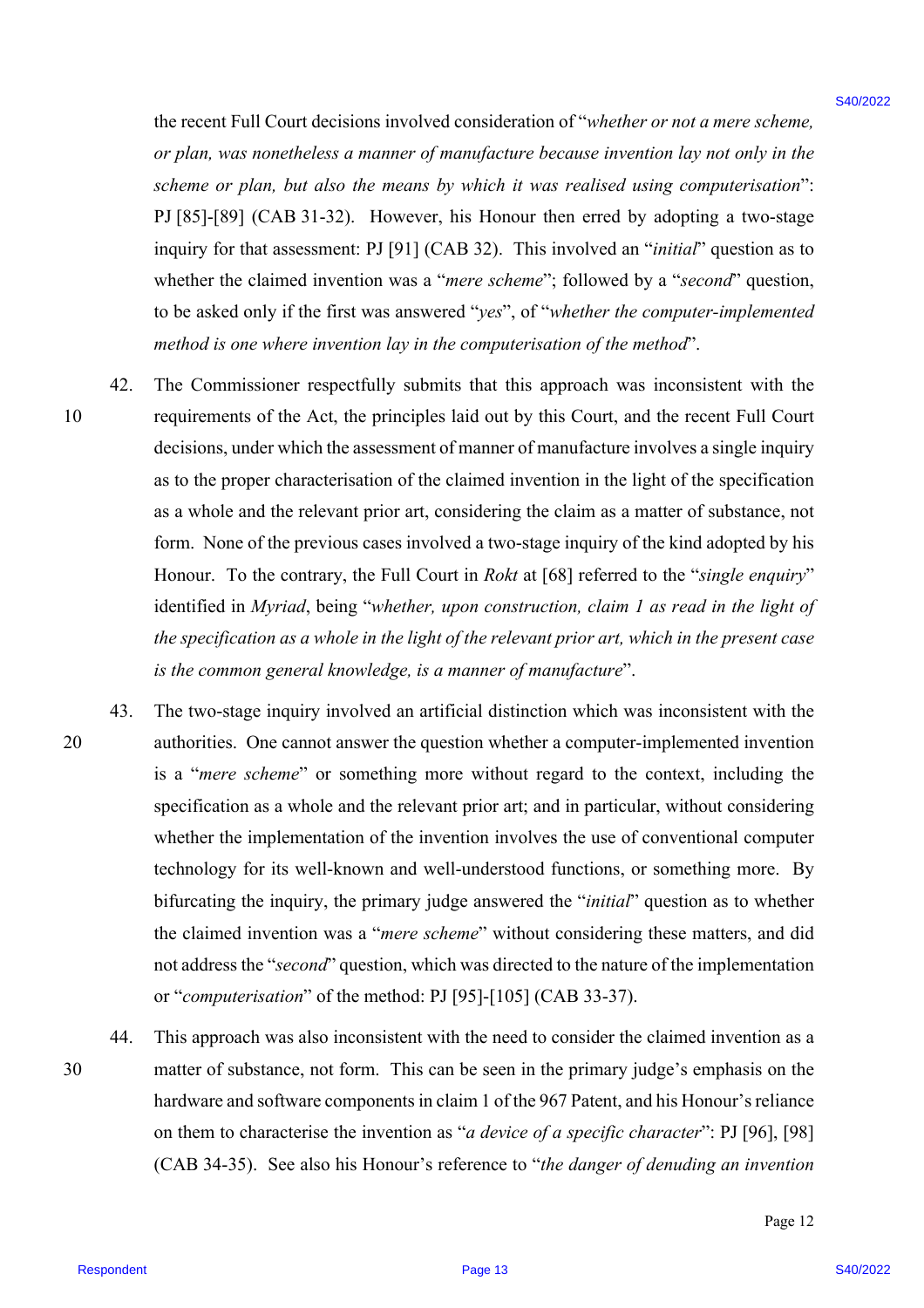the recent Full Court decisions involved consideration of "*whether or not a mere scheme, or plan, was nonetheless a manner of manufacture because invention lay not only in the scheme or plan, but also the means by which it was realised using computerisation*": PJ [85]-[89] (CAB 31-32). However, his Honour then erred by adopting a two-stage inquiry for that assessment: PJ [91] (CAB 32). This involved an "*initial*" question as to whether the claimed invention was a "*mere scheme*"; followed by a "*second*" question, to be asked only if the first was answered "*yes*", of "*whether the computer-implemented method is one where invention lay in the computerisation of the method*".

- 42. The Commissioner respectfully submits that this approach was inconsistent with the 10 requirements of the Act, the principles laid out by this Court, and the recent Full Court decisions, under which the assessment of manner of manufacture involves a single inquiry as to the proper characterisation of the claimed invention in the light of the specification as a whole and the relevant prior art, considering the claim as a matter of substance, not form. None of the previous cases involved a two-stage inquiry of the kind adopted by his Honour. To the contrary, the Full Court in *Rokt* at [68] referred to the "*single enquiry*" identified in *Myriad*, being "*whether, upon construction, claim 1 as read in the light of the specification as a whole in the light of the relevant prior art, which in the present case is the common general knowledge, is a manner of manufacture*".
- 43. The two-stage inquiry involved an artificial distinction which was inconsistent with the 20 authorities. One cannot answer the question whether a computer-implemented invention is a "*mere scheme*" or something more without regard to the context, including the specification as a whole and the relevant prior art; and in particular, without considering whether the implementation of the invention involves the use of conventional computer technology for its well-known and well-understood functions, or something more. By bifurcating the inquiry, the primary judge answered the "*initial*" question as to whether the claimed invention was a "*mere scheme*" without considering these matters, and did not address the "*second*" question, which was directed to the nature of the implementation or "*computerisation*" of the method: PJ [95]-[105] (CAB 33-37). the recent Foll Court decisions involved consideration of "whether or not ansere scheme,<br> *or points, we income the spondable consideration* of consistent *my order*  $\frac{1}{2}$  and  $m_{\text{F}}$  and  $m_{\text{F}}$  and  $m_{\text{F}}$  and
- 44. This approach was also inconsistent with the need to consider the claimed invention as a 30 matter of substance, not form. This can be seen in the primary judge's emphasis on the hardware and software components in claim 1 of the 967 Patent, and his Honour's reliance on them to characterise the invention as "*a device of a specific character*": PJ [96], [98] (CAB 34-35). See also his Honour's reference to "*the danger of denuding an invention*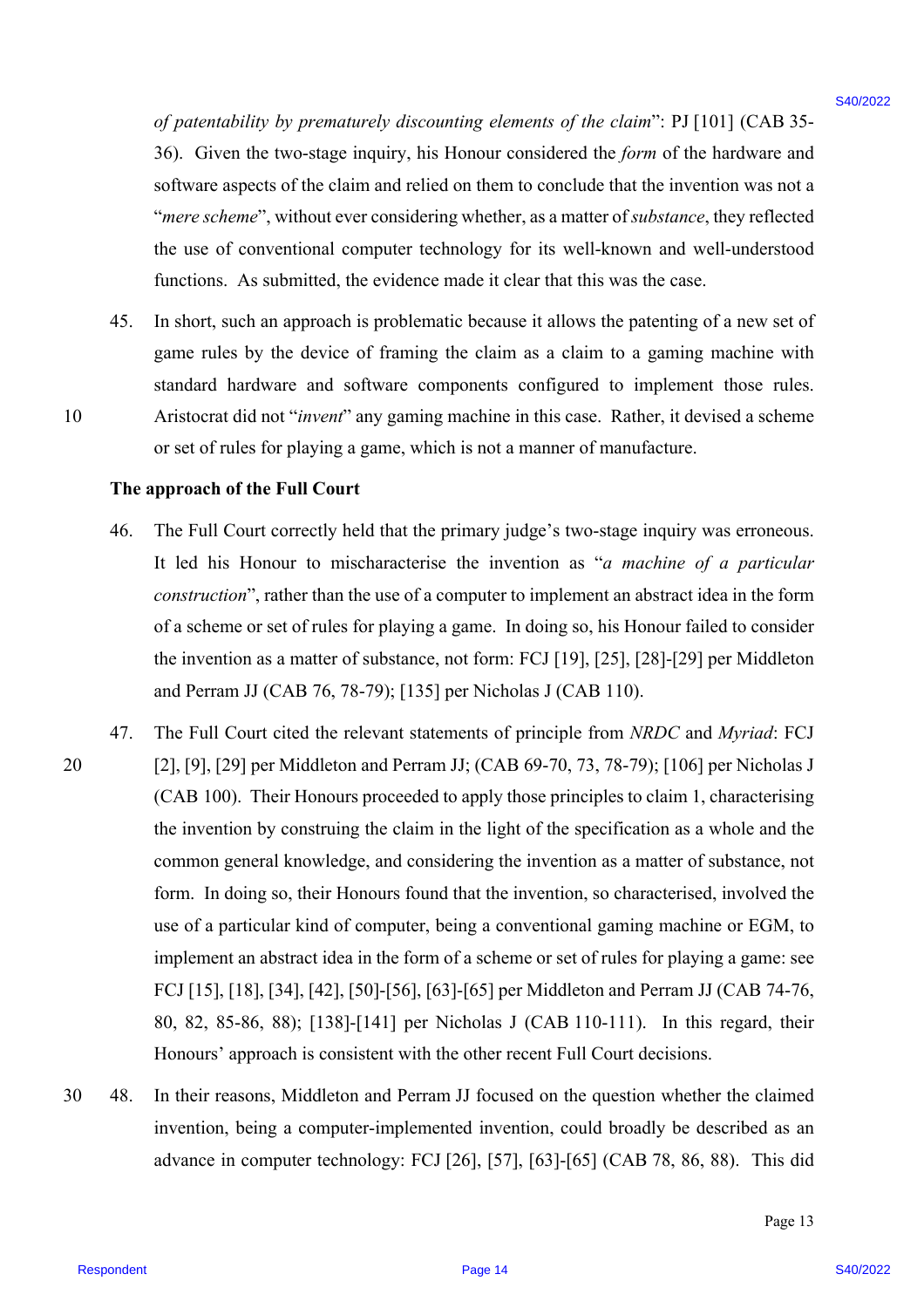*of patentability by prematurely discounting elements of the claim*": PJ [101] (CAB 35- 36). Given the two-stage inquiry, his Honour considered the *form* of the hardware and software aspects of the claim and relied on them to conclude that the invention was not a "*mere scheme*", without ever considering whether, as a matter of *substance*, they reflected the use of conventional computer technology for its well-known and well-understood functions. As submitted, the evidence made it clear that this was the case.

45. In short, such an approach is problematic because it allows the patenting of a new set of game rules by the device of framing the claim as a claim to a gaming machine with standard hardware and software components configured to implement those rules. 10 Aristocrat did not "*invent*" any gaming machine in this case. Rather, it devised a scheme or set of rules for playing a game, which is not a manner of manufacture.

#### **The approach of the Full Court**

- 46. The Full Court correctly held that the primary judge's two-stage inquiry was erroneous. It led his Honour to mischaracterise the invention as "*a machine of a particular construction*", rather than the use of a computer to implement an abstract idea in the form of a scheme or set of rules for playing a game. In doing so, his Honour failed to consider the invention as a matter of substance, not form: FCJ [19], [25], [28]-[29] per Middleton and Perram JJ (CAB 76, 78-79); [135] per Nicholas J (CAB 110).
- 47. The Full Court cited the relevant statements of principle from *NRDC* and *Myriad*: FCJ 20 [2], [9], [29] per Middleton and Perram JJ; (CAB 69-70, 73, 78-79); [106] per Nicholas J (CAB 100). Their Honours proceeded to apply those principles to claim 1, characterising the invention by construing the claim in the light of the specification as a whole and the common general knowledge, and considering the invention as a matter of substance, not form. In doing so, their Honours found that the invention, so characterised, involved the use of a particular kind of computer, being a conventional gaming machine or EGM, to implement an abstract idea in the form of a scheme or set of rules for playing a game: see FCJ [15], [18], [34], [42], [50]-[56], [63]-[65] per Middleton and Perram JJ (CAB 74-76, 80, 82, 85-86, 88); [138]-[141] per Nicholas J (CAB 110-111). In this regard, their Honours' approach is consistent with the other recent Full Court decisions. of patentobility by prematurely discounting dements of the claim": P11011 (CAB 35-20). Given the to-sample lapital) with Bloomer contained the form of the barbonic and  $\gamma$  after the to-sample in the claim of the claim in
- 30 48. In their reasons, Middleton and Perram JJ focused on the question whether the claimed invention, being a computer-implemented invention, could broadly be described as an advance in computer technology: FCJ [26], [57], [63]-[65] (CAB 78, 86, 88). This did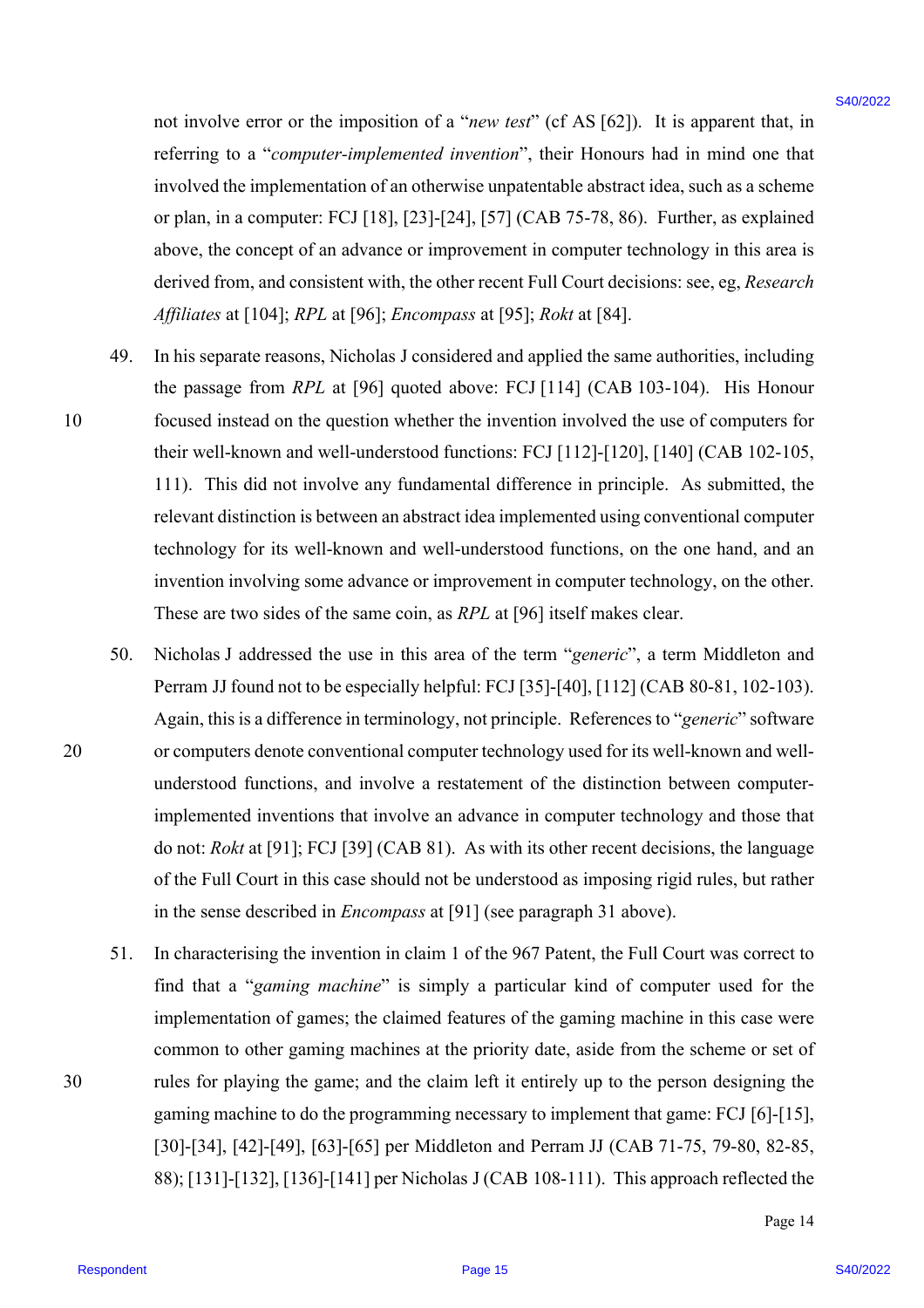not involve error or the imposition of a "*new test*" (cf AS [62]). It is apparent that, in referring to a "*computer-implemented invention*", their Honours had in mind one that involved the implementation of an otherwise unpatentable abstract idea, such as a scheme or plan, in a computer: FCJ [18], [23]-[24], [57] (CAB 75-78, 86). Further, as explained above, the concept of an advance or improvement in computer technology in this area is derived from, and consistent with, the other recent Full Court decisions: see, eg, *Research Affiliates* at [104]; *RPL* at [96]; *Encompass* at [95]; *Rokt* at [84].

- 49. In his separate reasons, Nicholas J considered and applied the same authorities, including the passage from *RPL* at [96] quoted above: FCJ [114] (CAB 103-104). His Honour 10 focused instead on the question whether the invention involved the use of computers for their well-known and well-understood functions: FCJ [112]-[120], [140] (CAB 102-105, 111). This did not involve any fundamental difference in principle. As submitted, the relevant distinction is between an abstract idea implemented using conventional computer technology for its well-known and well-understood functions, on the one hand, and an invention involving some advance or improvement in computer technology, on the other. These are two sides of the same coin, as *RPL* at [96] itself makes clear. not involve error or the imposition of a "are for" (of AS [62]). It is upposent that, in tracting the structure involvemental forecasts and the structure in traction in the structure in the structure in the structure in t
- 50. Nicholas J addressed the use in this area of the term "*generic*", a term Middleton and Perram JJ found not to be especially helpful: FCJ [35]-[40], [112] (CAB 80-81, 102-103). Again, this is a difference in terminology, not principle. References to "*generic*" software 20 or computers denote conventional computer technology used for its well-known and wellunderstood functions, and involve a restatement of the distinction between computerimplemented inventions that involve an advance in computer technology and those that do not: *Rokt* at [91]; FCJ [39] (CAB 81). As with its other recent decisions, the language of the Full Court in this case should not be understood as imposing rigid rules, but rather in the sense described in *Encompass* at [91] (see paragraph 31 above).
- 51. In characterising the invention in claim 1 of the 967 Patent, the Full Court was correct to find that a "*gaming machine*" is simply a particular kind of computer used for the implementation of games; the claimed features of the gaming machine in this case were common to other gaming machines at the priority date, aside from the scheme or set of 30 rules for playing the game; and the claim left it entirely up to the person designing the gaming machine to do the programming necessary to implement that game: FCJ [6]-[15], [30]-[34], [42]-[49], [63]-[65] per Middleton and Perram JJ (CAB 71-75, 79-80, 82-85, 88); [131]-[132], [136]-[141] per Nicholas J (CAB 108-111). This approach reflected the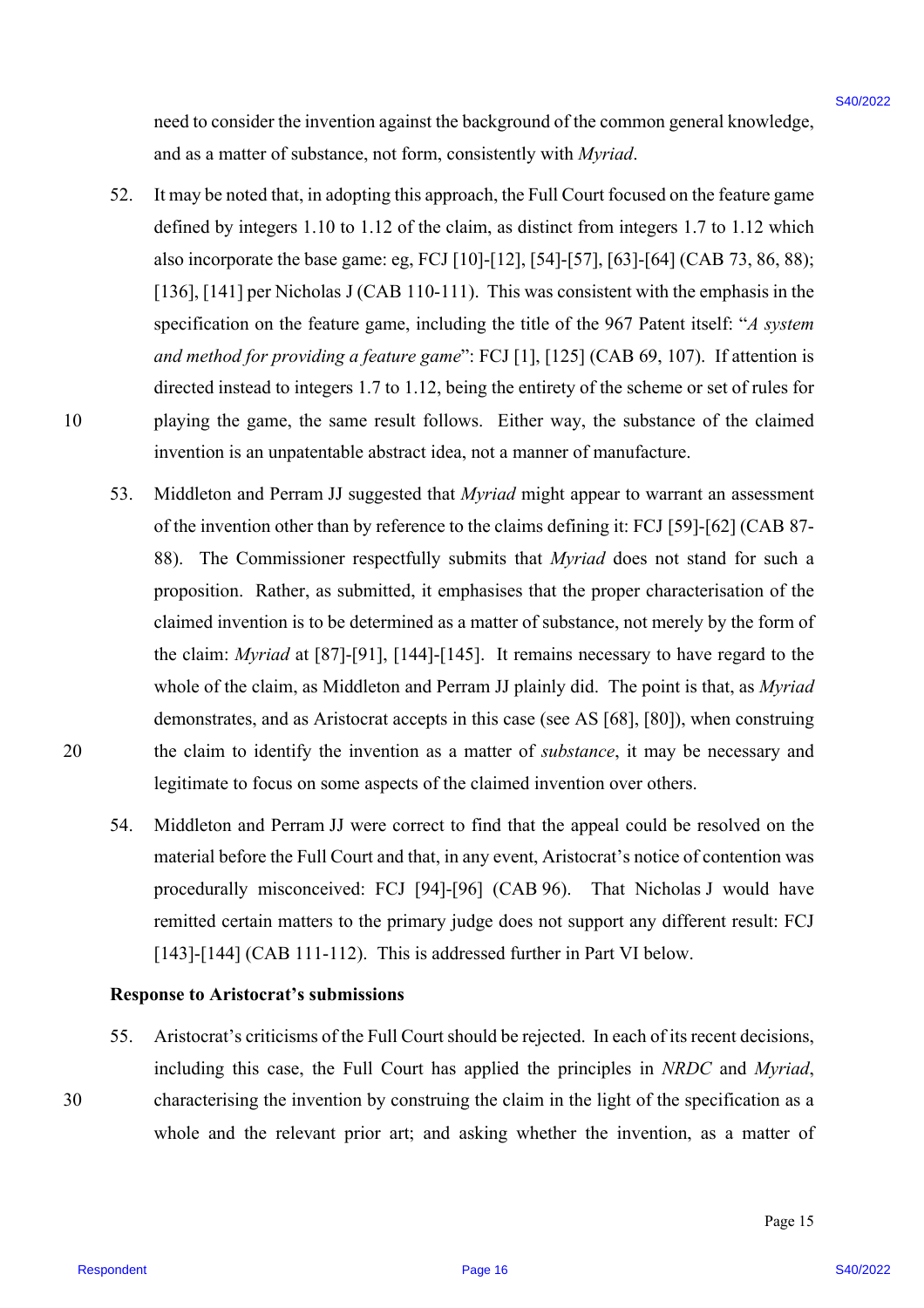need to consider the invention against the background of the common general knowledge, and as a matter of substance, not form, consistently with *Myriad*.

- 52. It may be noted that, in adopting this approach, the Full Court focused on the feature game defined by integers 1.10 to 1.12 of the claim, as distinct from integers 1.7 to 1.12 which also incorporate the base game: eg, FCJ [10]-[12], [54]-[57], [63]-[64] (CAB 73, 86, 88); [136], [141] per Nicholas J (CAB 110-111). This was consistent with the emphasis in the specification on the feature game, including the title of the 967 Patent itself: "*A system and method for providing a feature game*": FCJ [1], [125] (CAB 69, 107). If attention is directed instead to integers 1.7 to 1.12, being the entirety of the scheme or set of rules for 10 playing the game, the same result follows. Either way, the substance of the claimed invention is an unpatentable abstract idea, not a manner of manufacture.
- 53. Middleton and Perram JJ suggested that *Myriad* might appear to warrant an assessment of the invention other than by reference to the claims defining it: FCJ [59]-[62] (CAB 87- 88). The Commissioner respectfully submits that *Myriad* does not stand for such a proposition. Rather, as submitted, it emphasises that the proper characterisation of the claimed invention is to be determined as a matter of substance, not merely by the form of the claim: *Myriad* at [87]-[91], [144]-[145]. It remains necessary to have regard to the whole of the claim, as Middleton and Perram JJ plainly did. The point is that, as *Myriad* demonstrates, and as Aristocrat accepts in this case (see AS [68], [80]), when construing 20 the claim to identify the invention as a matter of *substance*, it may be necessary and legitimate to focus on some aspects of the claimed invention over others. need to consider the investrien appired the bookground of the contron general knowledge,<br>
and an annuar of substance, prodi firm, convelobelly with  $kq\sigma/\omega$  is  $k$  of the matter space.<br>
Thus be meant that, in adequate thi
	- 54. Middleton and Perram JJ were correct to find that the appeal could be resolved on the material before the Full Court and that, in any event, Aristocrat's notice of contention was procedurally misconceived: FCJ [94]-[96] (CAB 96). That Nicholas J would have remitted certain matters to the primary judge does not support any different result: FCJ [143]-[144] (CAB 111-112). This is addressed further in Part VI below.

#### **Response to Aristocrat's submissions**

55. Aristocrat's criticisms of the Full Court should be rejected. In each of its recent decisions, including this case, the Full Court has applied the principles in *NRDC* and *Myriad*, 30 characterising the invention by construing the claim in the light of the specification as a whole and the relevant prior art; and asking whether the invention, as a matter of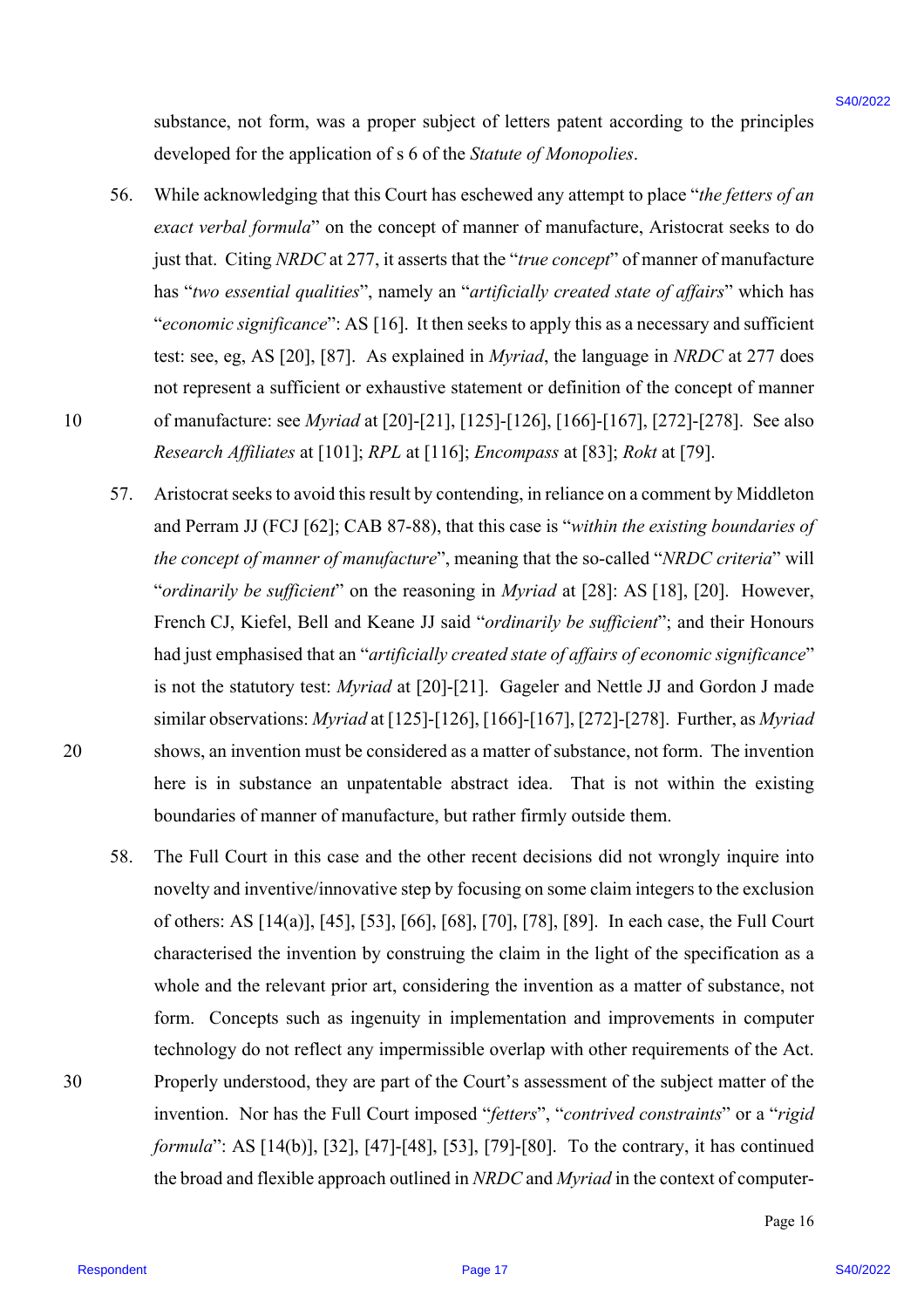substance, not form, was a proper subject of letters patent according to the principles developed for the application of s 6 of the *Statute of Monopolies*.

- 56. While acknowledging that this Court has eschewed any attempt to place "*the fetters of an exact verbal formula*" on the concept of manner of manufacture, Aristocrat seeks to do just that. Citing *NRDC* at 277, it asserts that the "*true concept*" of manner of manufacture has "*two essential qualities*", namely an "*artificially created state of affairs*" which has "*economic significance*": AS [16]. It then seeks to apply this as a necessary and sufficient test: see, eg, AS [20], [87]. As explained in *Myriad*, the language in *NRDC* at 277 does not represent a sufficient or exhaustive statement or definition of the concept of manner 10 of manufacture: see *Myriad* at [20]-[21], [125]-[126], [166]-[167], [272]-[278]. See also *Research Affiliates* at [101]; *RPL* at [116]; *Encompass* at [83]; *Rokt* at [79].
- 57. Aristocrat seeks to avoid this result by contending, in reliance on a comment by Middleton and Perram JJ (FCJ [62]; CAB 87-88), that this case is "*within the existing boundaries of the concept of manner of manufacture*", meaning that the so-called "*NRDC criteria*" will "*ordinarily be sufficient*" on the reasoning in *Myriad* at [28]: AS [18], [20]. However, French CJ, Kiefel, Bell and Keane JJ said "*ordinarily be sufficient*"; and their Honours had just emphasised that an "*artificially created state of affairs of economic significance*" is not the statutory test: *Myriad* at [20]-[21]. Gageler and Nettle JJ and Gordon J made similar observations: *Myriad* at [125]-[126], [166]-[167], [272]-[278]. Further, as *Myriad* 20 shows, an invention must be considered as a matter of substance, not form. The invention here is in substance an unpatentable abstract idea. That is not within the existing boundaries of manner of manufacture, but rather firmly outside them. substance, not form, was a proper subject of leterary parent according to the principles<br>de-de-papel fix the angle<br>de-de-papel fix the Soviet of Notes (Monegardian: 16 of the Sovietic scheme<br>state of the state of the stat
- 58. The Full Court in this case and the other recent decisions did not wrongly inquire into novelty and inventive/innovative step by focusing on some claim integers to the exclusion of others: AS [14(a)], [45], [53], [66], [68], [70], [78], [89]. In each case, the Full Court characterised the invention by construing the claim in the light of the specification as a whole and the relevant prior art, considering the invention as a matter of substance, not form. Concepts such as ingenuity in implementation and improvements in computer technology do not reflect any impermissible overlap with other requirements of the Act. 30 Properly understood, they are part of the Court's assessment of the subject matter of the invention. Nor has the Full Court imposed "*fetters*", "*contrived constraints*" or a "*rigid formula*": AS [14(b)], [32], [47]-[48], [53], [79]-[80]. To the contrary, it has continued the broad and flexible approach outlined in *NRDC* and *Myriad* in the context of computer-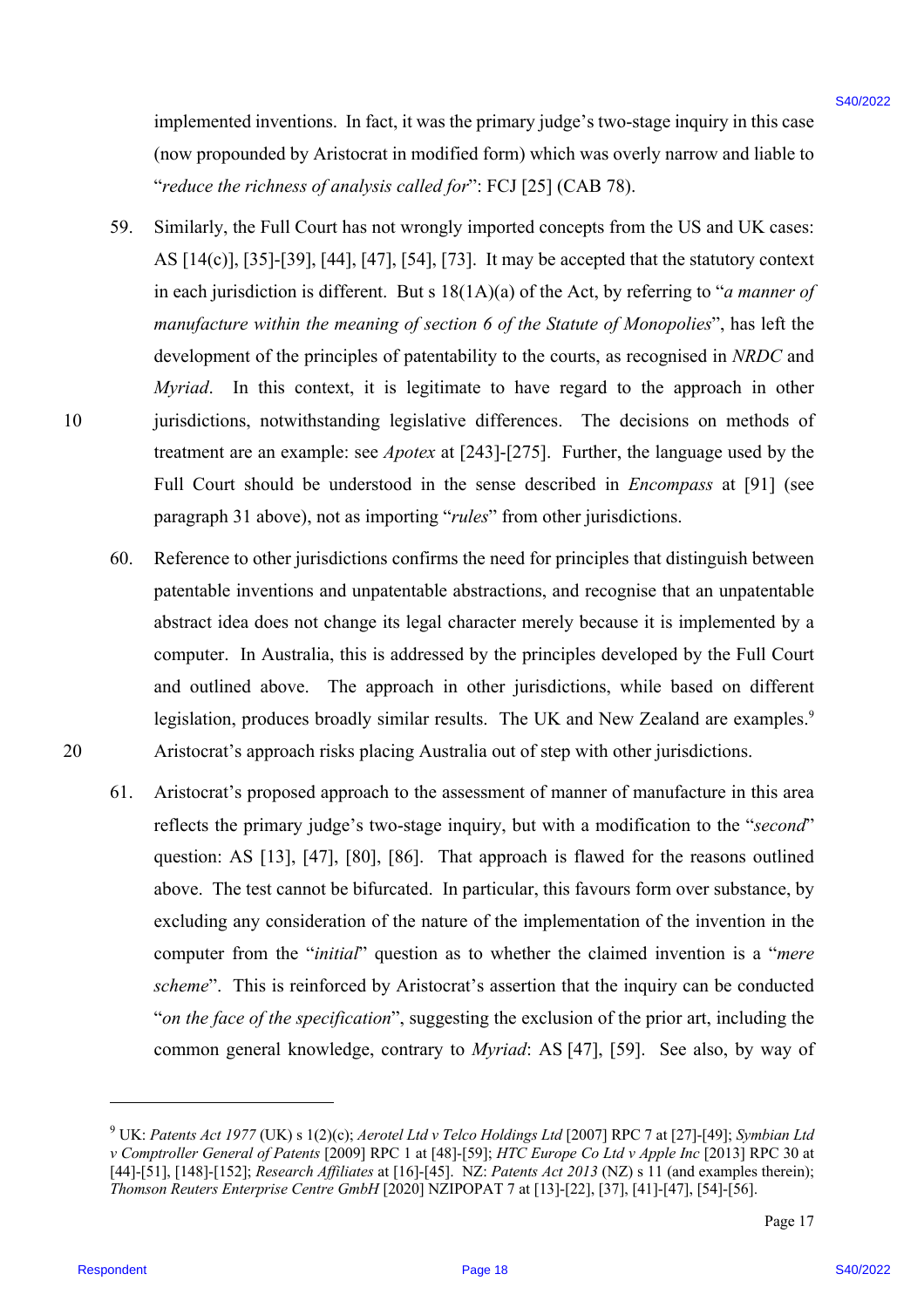implemented inventions. In fact, it was the primary judge's two-stage inquiry in this case (now propounded by Aristocrat in modified form) which was overly narrow and liable to "*reduce the richness of analysis called for*": FCJ [25] (CAB 78).

- 59. Similarly, the Full Court has not wrongly imported concepts from the US and UK cases: AS [14(c)], [35]-[39], [44], [47], [54], [73]. It may be accepted that the statutory context in each jurisdiction is different. But s 18(1A)(a) of the Act, by referring to "*a manner of manufacture within the meaning of section 6 of the Statute of Monopolies*", has left the development of the principles of patentability to the courts, as recognised in *NRDC* and *Myriad*. In this context, it is legitimate to have regard to the approach in other 10 jurisdictions, notwithstanding legislative differences. The decisions on methods of treatment are an example: see *Apotex* at [243]-[275]. Further, the language used by the Full Court should be understood in the sense described in *Encompass* at [91] (see paragraph 31 above), not as importing "*rules*" from other jurisdictions. implemented inventions. In fact, it was the primary judge's two-stage inquity in this case<br>
(row presumated by Aviatocat in watchful form) witch was coverige function<br>
"terfore the relations of molecular in watchful form)
- 60. Reference to other jurisdictions confirms the need for principles that distinguish between patentable inventions and unpatentable abstractions, and recognise that an unpatentable abstract idea does not change its legal character merely because it is implemented by a computer. In Australia, this is addressed by the principles developed by the Full Court and outlined above. The approach in other jurisdictions, while based on different legislation, produces broadly similar results. The UK and New Zealand are examples.<sup>9</sup> 20 Aristocrat's approach risks placing Australia out of step with other jurisdictions.
	- 61. Aristocrat's proposed approach to the assessment of manner of manufacture in this area reflects the primary judge's two-stage inquiry, but with a modification to the "*second*" question: AS [13], [47], [80], [86]. That approach is flawed for the reasons outlined above. The test cannot be bifurcated. In particular, this favours form over substance, by excluding any consideration of the nature of the implementation of the invention in the computer from the "*initial*" question as to whether the claimed invention is a "*mere scheme*". This is reinforced by Aristocrat's assertion that the inquiry can be conducted "*on the face of the specification*", suggesting the exclusion of the prior art, including the common general knowledge, contrary to *Myriad*: AS [47], [59]. See also, by way of

<sup>9</sup> UK: *Patents Act 1977* (UK) s 1(2)(c); *Aerotel Ltd v Telco Holdings Ltd* [2007] RPC 7 at [27]-[49]; *Symbian Ltd v Comptroller General of Patents* [2009] RPC 1 at [48]-[59]; *HTC Europe Co Ltd v Apple Inc* [2013] RPC 30 at [44]-[51], [148]-[152]; *Research Affiliates* at [16]-[45]. NZ: *Patents Act 2013* (NZ) s 11 (and examples therein); *Thomson Reuters Enterprise Centre GmbH* [2020] NZIPOPAT 7 at [13]-[22], [37], [41]-[47], [54]-[56].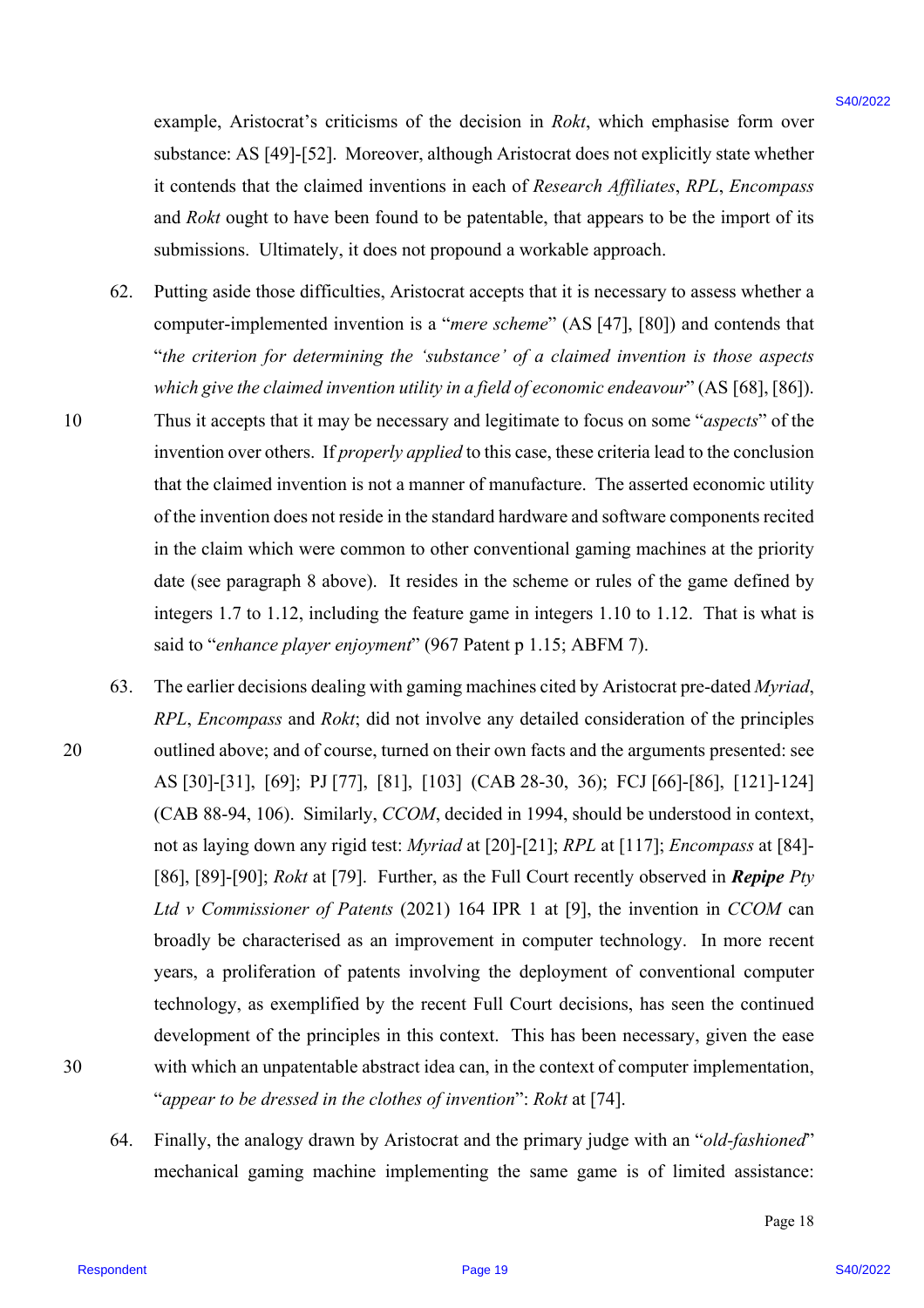example, Aristocrat's criticisms of the decision in *Rokt*, which emphasise form over substance: AS [49]-[52]. Moreover, although Aristocrat does not explicitly state whether it contends that the claimed inventions in each of *Research Affiliates*, *RPL*, *Encompass* and *Rokt* ought to have been found to be patentable, that appears to be the import of its submissions. Ultimately, it does not propound a workable approach.

- 62. Putting aside those difficulties, Aristocrat accepts that it is necessary to assess whether a computer-implemented invention is a "*mere scheme*" (AS [47], [80]) and contends that "*the criterion for determining the 'substance' of a claimed invention is those aspects which give the claimed invention utility in a field of economic endeavour*" (AS [68], [86]). 10 Thus it accepts that it may be necessary and legitimate to focus on some "*aspects*" of the invention over others. If *properly applied* to this case, these criteria lead to the conclusion that the claimed invention is not a manner of manufacture. The asserted economic utility of the invention does not reside in the standard hardware and software components recited in the claim which were common to other conventional gaming machines at the priority date (see paragraph 8 above). It resides in the scheme or rules of the game defined by integers 1.7 to 1.12, including the feature game in integers 1.10 to 1.12. That is what is said to "*enhance player enjoyment*" (967 Patent p 1.15; ABFM 7).
- 63. The earlier decisions dealing with gaming machines cited by Aristocrat pre-dated *Myriad*, *RPL*, *Encompass* and *Rokt*; did not involve any detailed consideration of the principles 20 outlined above; and of course, turned on their own facts and the arguments presented: see AS [30]-[31], [69]; PJ [77], [81], [103] (CAB 28-30, 36); FCJ [66]-[86], [121]-124] (CAB 88-94, 106). Similarly, *CCOM*, decided in 1994, should be understood in context, not as laying down any rigid test: *Myriad* at [20]-[21]; *RPL* at [117]; *Encompass* at [84]- [86], [89]-[90]; *Rokt* at [79]. Further, as the Full Court recently observed in *Repipe Pty Ltd v Commissioner of Patents* (2021) 164 IPR 1 at [9], the invention in *CCOM* can broadly be characterised as an improvement in computer technology. In more recent years, a proliferation of patents involving the deployment of conventional computer technology, as exemplified by the recent Full Court decisions, has seen the continued development of the principles in this context. This has been necessary, given the ease 30 with which an unpatentable abstract idea can, in the context of computer implementation, "*appear to be dressed in the clothes of invention*": *Rokt* at [74]. example, Aristocmu's entitlessme of the decision in Roke, which emphasise form over<br>
salvatores AS [90]:[32]. Moreove, sithough Avistochui disc was the spherid value where<br>
it contends that the sithinged responsents of th
	- 64. Finally, the analogy drawn by Aristocrat and the primary judge with an "*old-fashioned*" mechanical gaming machine implementing the same game is of limited assistance: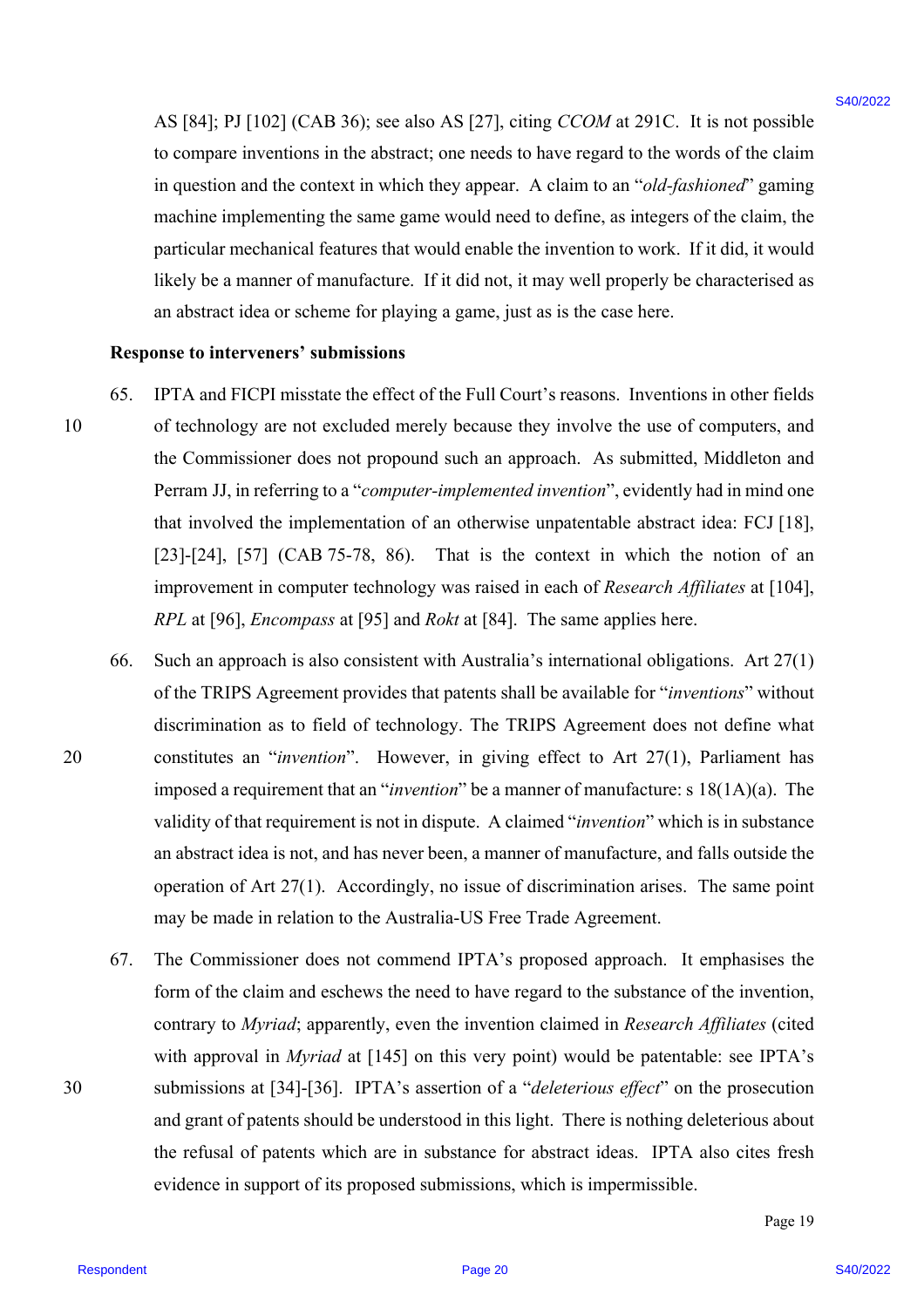AS [84]; PJ [102] (CAB 36); see also AS [27], citing *CCOM* at 291C. It is not possible to compare inventions in the abstract; one needs to have regard to the words of the claim in question and the context in which they appear. A claim to an "*old-fashioned*" gaming machine implementing the same game would need to define, as integers of the claim, the particular mechanical features that would enable the invention to work. If it did, it would likely be a manner of manufacture. If it did not, it may well properly be characterised as an abstract idea or scheme for playing a game, just as is the case here.

#### **Response to interveners' submissions**

- 65. IPTA and FICPI misstate the effect of the Full Court's reasons. Inventions in other fields 10 of technology are not excluded merely because they involve the use of computers, and the Commissioner does not propound such an approach. As submitted, Middleton and Perram JJ, in referring to a "*computer-implemented invention*", evidently had in mind one that involved the implementation of an otherwise unpatentable abstract idea: FCJ [18], [23]-[24], [57] (CAB 75-78, 86). That is the context in which the notion of an improvement in computer technology was raised in each of *Research Affiliates* at [104], *RPL* at [96], *Encompass* at [95] and *Rokt* at [84]. The same applies here.
- 66. Such an approach is also consistent with Australia's international obligations. Art 27(1) of the TRIPS Agreement provides that patents shall be available for "*inventions*" without discrimination as to field of technology. The TRIPS Agreement does not define what 20 constitutes an "*invention*". However, in giving effect to Art 27(1), Parliament has imposed a requirement that an "*invention*" be a manner of manufacture: s 18(1A)(a). The validity of that requirement is not in dispute. A claimed "*invention*" which is in substance an abstract idea is not, and has never been, a manner of manufacture, and falls outside the operation of Art 27(1). Accordingly, no issue of discrimination arises. The same point may be made in relation to the Australia-US Free Trade Agreement. AS [84]: PJ [102] (CAR 36): see also AS [27], exing CCOM at 291C. It is not possible<br>to compute three-totion in the dotters, con accel to be the weak of the words of the dotters<br>in quasitom and the context in which they a
- 67. The Commissioner does not commend IPTA's proposed approach. It emphasises the form of the claim and eschews the need to have regard to the substance of the invention, contrary to *Myriad*; apparently, even the invention claimed in *Research Affiliates* (cited with approval in *Myriad* at [145] on this very point) would be patentable: see IPTA's 30 submissions at [34]-[36]. IPTA's assertion of a "*deleterious effect*" on the prosecution and grant of patents should be understood in this light. There is nothing deleterious about the refusal of patents which are in substance for abstract ideas. IPTA also cites fresh evidence in support of its proposed submissions, which is impermissible.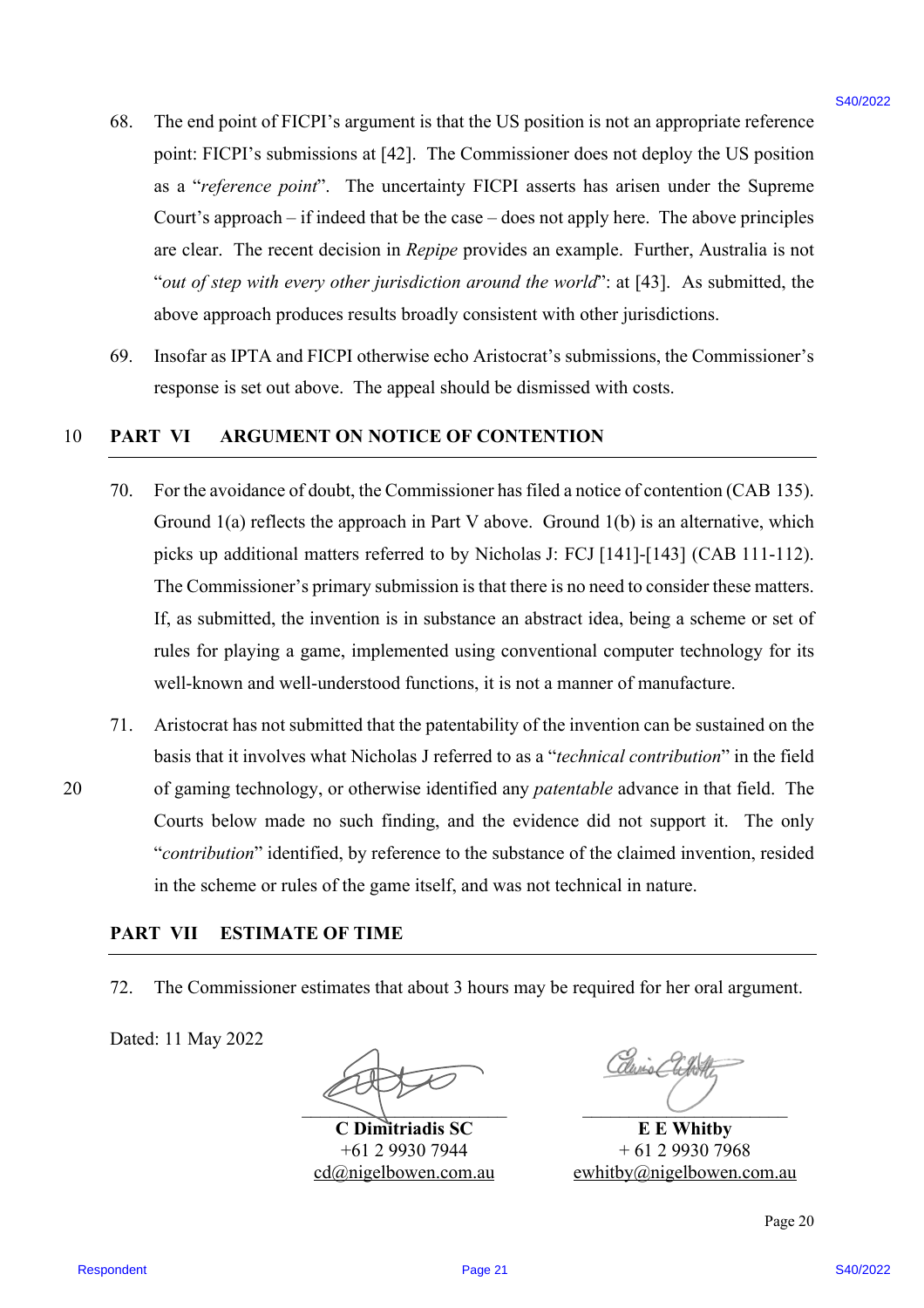- 68. The end point of FICPI's argument is that the US position is not an appropriate reference point: FICPI's submissions at [42]. The Commissioner does not deploy the US position as a "*reference point*". The uncertainty FICPI asserts has arisen under the Supreme Court's approach – if indeed that be the case – does not apply here. The above principles are clear. The recent decision in *Repipe* provides an example. Further, Australia is not "*out of step with every other jurisdiction around the world*": at [43]. As submitted, the above approach produces results broadly consistent with other jurisdictions.
- 69. Insofar as IPTA and FICPI otherwise echo Aristocrat's submissions, the Commissioner's response is set out above. The appeal should be dismissed with costs.

#### 10 **PART VI ARGUMENT ON NOTICE OF CONTENTION**

- 70. For the avoidance of doubt, the Commissioner has filed a notice of contention (CAB 135). Ground  $1(a)$  reflects the approach in Part V above. Ground  $1(b)$  is an alternative, which picks up additional matters referred to by Nicholas J: FCJ [141]-[143] (CAB 111-112). The Commissioner's primary submission is that there is no need to consider these matters. If, as submitted, the invention is in substance an abstract idea, being a scheme or set of rules for playing a game, implemented using conventional computer technology for its well-known and well-understood functions, it is not a manner of manufacture. 68. The end point of HCPI's argument is thus the US positions is not an uppropriate reference<br>point. HCPI's and the content in EQ1. The Constraint of HCPI and "influence in the point of the Shoption<br>contribution and EQ1.
- 71. Aristocrat has not submitted that the patentability of the invention can be sustained on the basis that it involves what Nicholas J referred to as a "*technical contribution*" in the field 20 of gaming technology, or otherwise identified any *patentable* advance in that field. The Courts below made no such finding, and the evidence did not support it. The only "*contribution*" identified, by reference to the substance of the claimed invention, resided in the scheme or rules of the game itself, and was not technical in nature.

#### **PART VII ESTIMATE OF TIME**

72. The Commissioner estimates that about 3 hours may be required for her oral argument.

Dated: 11 May 2022

 $\sum_{i=1}^n\frac{1}{i!}\sum_{j=1}^n\frac{1}{j!}\sum_{j=1}^n\frac{1}{j!}\sum_{j=1}^n\frac{1}{j!}\sum_{j=1}^n\frac{1}{j!}\sum_{j=1}^n\frac{1}{j!}\sum_{j=1}^n\frac{1}{j!}\sum_{j=1}^n\frac{1}{j!}\sum_{j=1}^n\frac{1}{j!}\sum_{j=1}^n\frac{1}{j!}\sum_{j=1}^n\frac{1}{j!}\sum_{j=1}^n\frac{1}{j!}\sum_{j=1}^n\frac{1}{j!}\sum_{j=1}^n\frac{$ 

**C Dimitriadis SC** +61 2 9930 7944 cd@nigelbowen.com.au

**E E Whitby** + 61 2 9930 7968 ewhitby@nigelbowen.com.au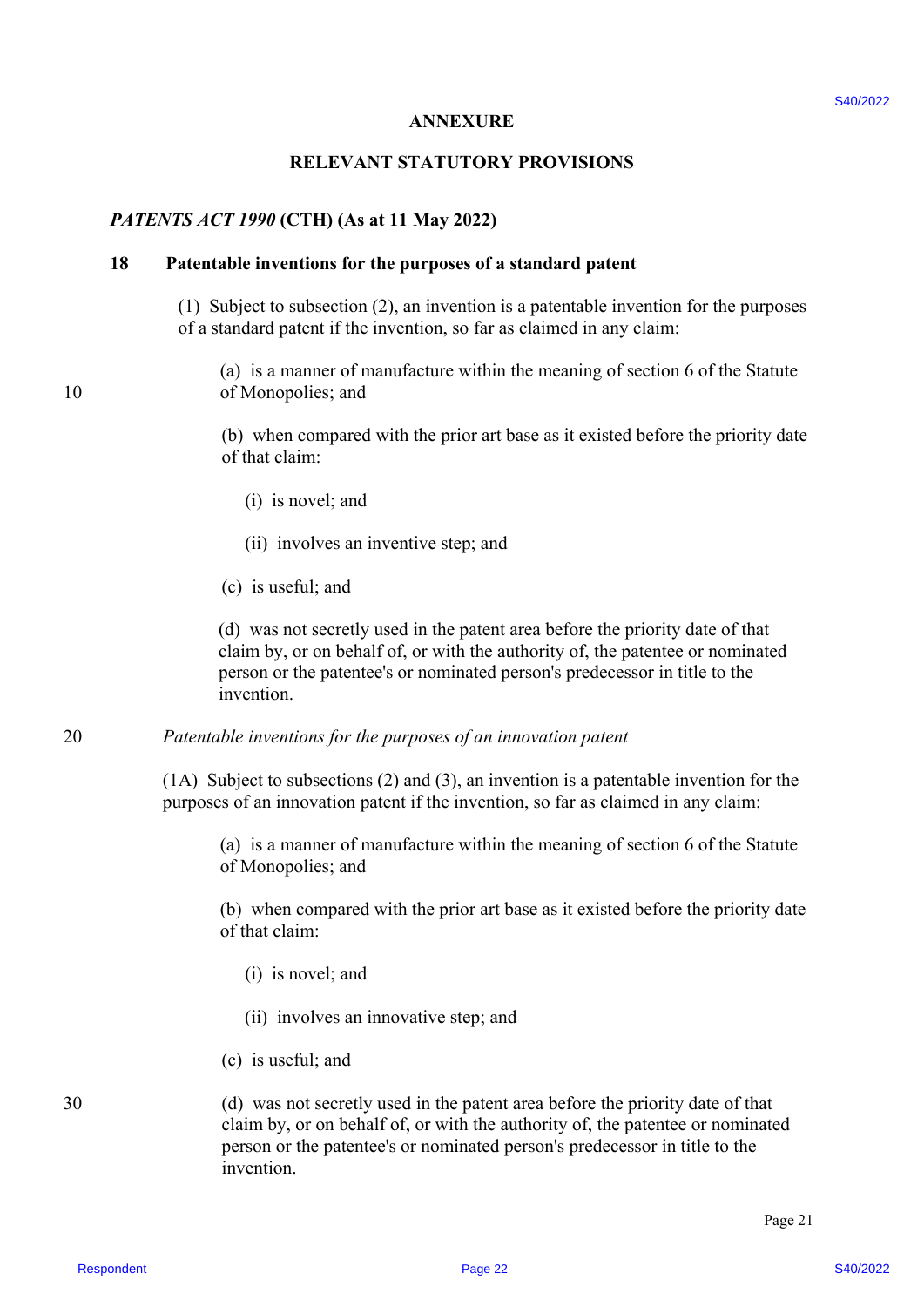#### **ANNEXURE**

#### **RELEVANT STATUTORY PROVISIONS**

#### *PATENTS ACT 1990* **(CTH) (As at 11 May 2022)**

#### **18 Patentable inventions for the purposes of a standard patent**

(1) Subject to subsection (2), an invention is a patentable invention for the purposes of a standard patent if the invention, so far as claimed in any claim:

(a) is a manner of manufacture within the meaning of section 6 of the Statute 10 of Monopolies; and

> (b) when compared with the prior art base as it existed before the priority date of that claim:

- (i) is novel; and
- (ii) involves an inventive step; and
- (c) is useful; and

(d) was not secretly used in the patent area before the priority date of that claim by, or on behalf of, or with the authority of, the patentee or nominated person or the patentee's or nominated person's predecessor in title to the invention.

20 *Patentable inventions for the purposes of an innovation patent* 

(1A) Subject to subsections (2) and (3), an invention is a patentable invention for the purposes of an innovation patent if the invention, so far as claimed in any claim:

(a) is a manner of manufacture within the meaning of section 6 of the Statute of Monopolies; and

(b) when compared with the prior art base as it existed before the priority date of that claim:

- (i) is novel; and
- (ii) involves an innovative step; and
- (c) is useful; and

30 (d) was not secretly used in the patent area before the priority date of that claim by, or on behalf of, or with the authority of, the patentee or nominated person or the patentee's or nominated person's predecessor in title to the invention. **RELEVANT STATUTORY PROVISIONS**<br> **RELEVANT STATUTORY PROVISIONS**<br> **PATENTS AT 1999** (C111) (As at 11 Miny 2022)<br>
18<br> **Photometric S40 (Photometric S40** and method patent<br>
(1) Suister to subsective (2), an investigate is a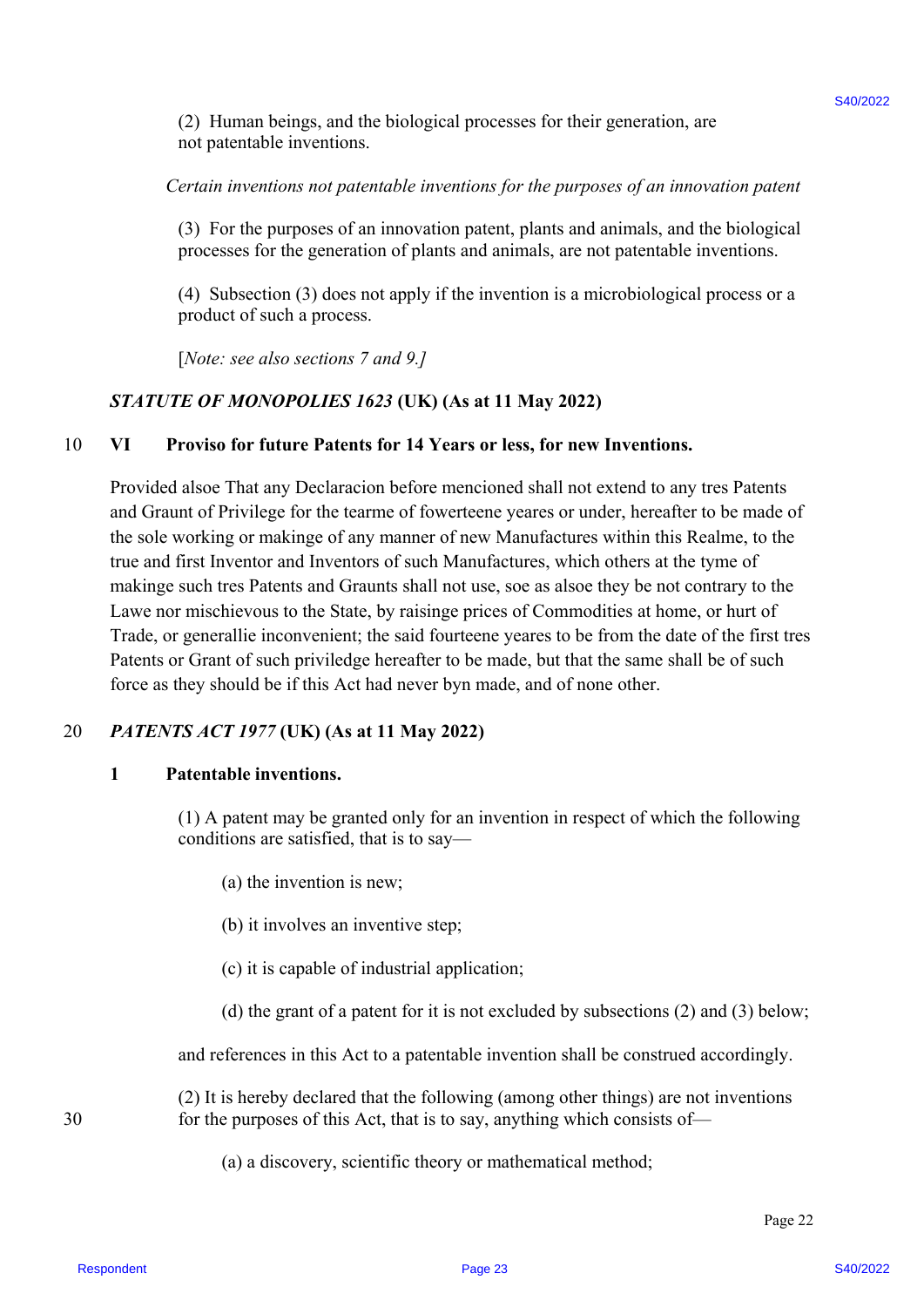(2) Human beings, and the biological processes for their generation, are not patentable inventions.

#### *Certain inventions not patentable inventions for the purposes of an innovation patent*

(3) For the purposes of an innovation patent, plants and animals, and the biological processes for the generation of plants and animals, are not patentable inventions.

(4) Subsection (3) does not apply if the invention is a microbiological process or a product of such a process.

[*Note: see also sections 7 and 9.]* 

#### *STATUTE OF MONOPOLIES 1623* **(UK) (As at 11 May 2022)**

#### 10 **VI Proviso for future Patents for 14 Years or less, for new Inventions.**

Provided alsoe That any Declaracion before mencioned shall not extend to any tres Patents and Graunt of Privilege for the tearme of fowerteene yeares or under, hereafter to be made of the sole working or makinge of any manner of new Manufactures within this Realme, to the true and first Inventor and Inventors of such Manufactures, which others at the tyme of makinge such tres Patents and Graunts shall not use, soe as alsoe they be not contrary to the Lawe nor mischievous to the State, by raisinge prices of Commodities at home, or hurt of Trade, or generallie inconvenient; the said fourteene yeares to be from the date of the first tres Patents or Grant of such priviledge hereafter to be made, but that the same shall be of such force as they should be if this Act had never byn made, and of none other. (2) Harman behaps, and the biological processes for their generation, are<br>not particularly therestically constrained by the purposite of on two systems<br>of Correlation (3) For the page 24 state of the particular pattern pl

#### 20 *PATENTS ACT 1977* **(UK) (As at 11 May 2022)**

#### **1 Patentable inventions.**

(1) A patent may be granted only for an invention in respect of which the following conditions are satisfied, that is to say—

(a) the invention is new;

(b) it involves an inventive step;

(c) it is capable of industrial application;

(d) the grant of a patent for it is not excluded by subsections (2) and (3) below;

and references in this Act to a patentable invention shall be construed accordingly.

(2) It is hereby declared that the following (among other things) are not inventions 30 for the purposes of this Act, that is to say, anything which consists of—

(a) a discovery, scientific theory or mathematical method;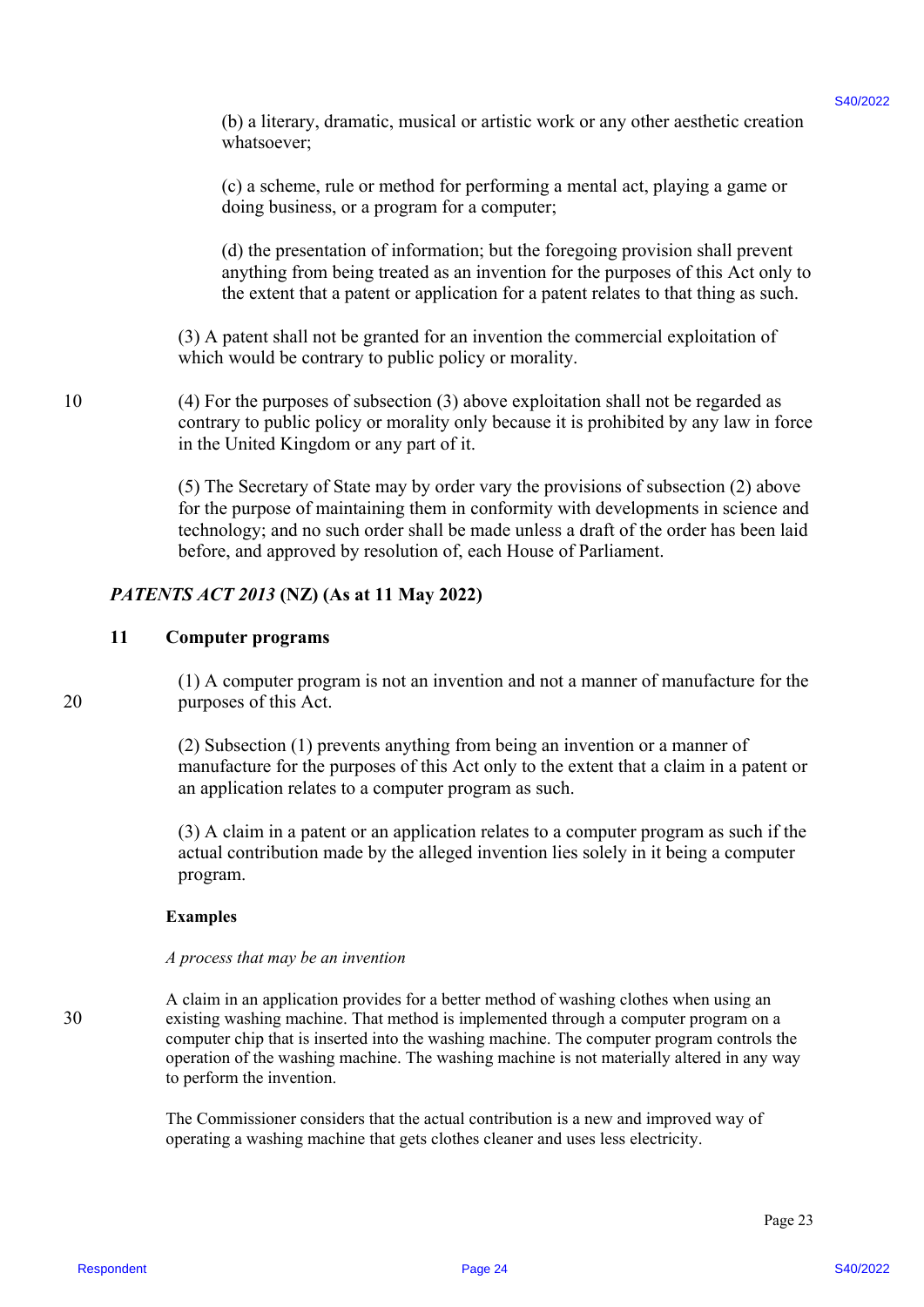(b) a literary, dramatic, musical or artistic work or any other aesthetic creation whatsoever;

(c) a scheme, rule or method for performing a mental act, playing a game or doing business, or a program for a computer;

(d) the presentation of information; but the foregoing provision shall prevent anything from being treated as an invention for the purposes of this Act only to the extent that a patent or application for a patent relates to that thing as such.

(3) A patent shall not be granted for an invention the commercial exploitation of which would be contrary to public policy or morality.

10 (4) For the purposes of subsection (3) above exploitation shall not be regarded as contrary to public policy or morality only because it is prohibited by any law in force in the United Kingdom or any part of it.

> (5) The Secretary of State may by order vary the provisions of subsection (2) above for the purpose of maintaining them in conformity with developments in science and technology; and no such order shall be made unless a draft of the order has been laid before, and approved by resolution of, each House of Parliament.

#### *PATENTS ACT 2013* **(NZ) (As at 11 May 2022)**

#### **11 Computer programs**

(1) A computer program is not an invention and not a manner of manufacture for the 20 purposes of this Act.

> (2) Subsection (1) prevents anything from being an invention or a manner of manufacture for the purposes of this Act only to the extent that a claim in a patent or an application relates to a computer program as such.

> (3) A claim in a patent or an application relates to a computer program as such if the actual contribution made by the alleged invention lies solely in it being a computer program.

#### **Examples**

#### *A process that may be an invention*

A claim in an application provides for a better method of washing clothes when using an 30 existing washing machine. That method is implemented through a computer program on a computer chip that is inserted into the washing machine. The computer program controls the operation of the washing machine. The washing machine is not materially altered in any way to perform the invention. (b) a lineary, denoted for antistic vock or my other assistance of any other assistance of the action of the page 240.<br>
(c) a scheme, roti or anceled for performing a month act, physing a genus or<br>
doing those interests o

The Commissioner considers that the actual contribution is a new and improved way of operating a washing machine that gets clothes cleaner and uses less electricity.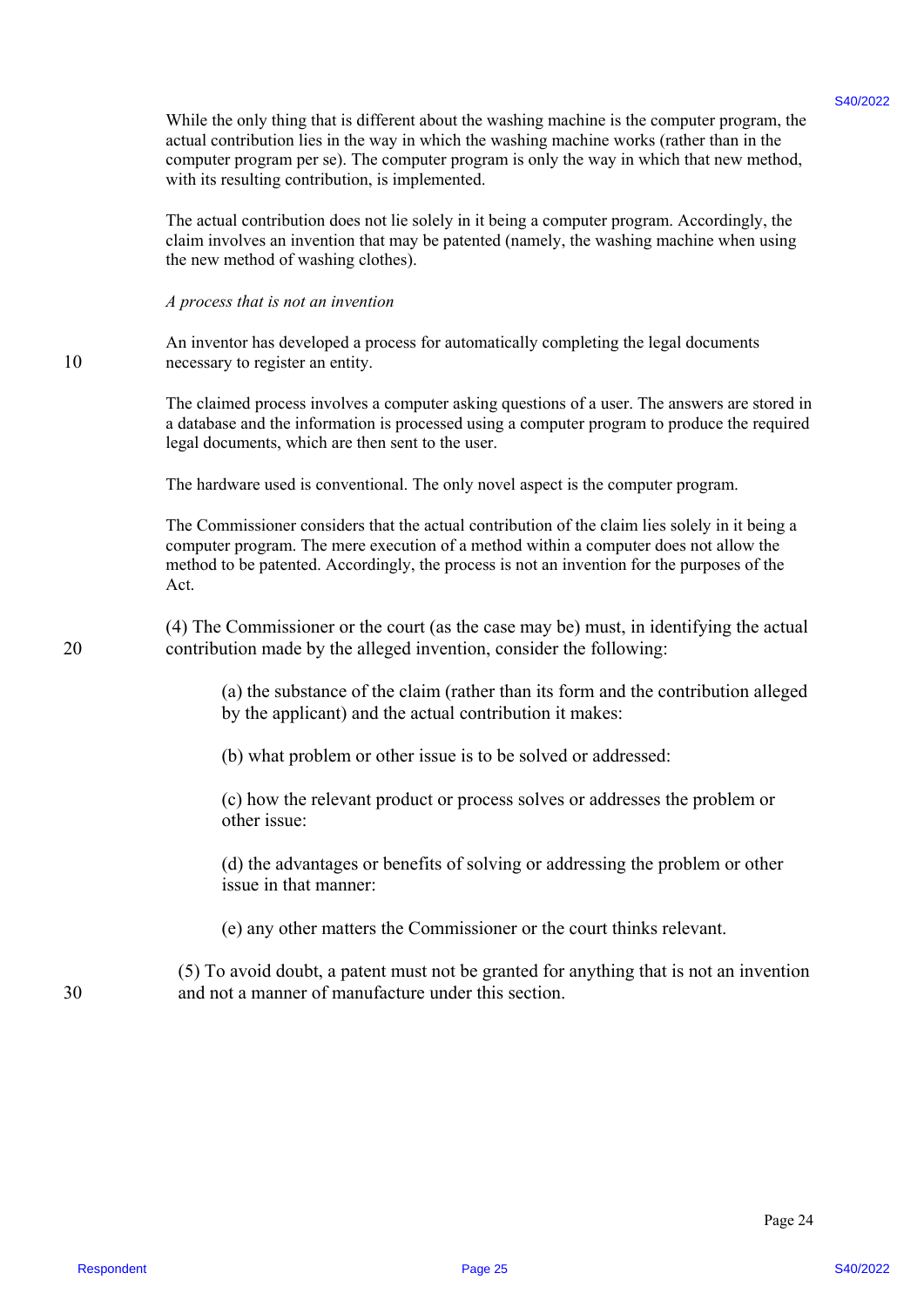While the only thing that is different about the washing machine is the computer program, the actual contribution lies in the way in which the washing machine works (rather than in the computer program per se). The computer program is only the way in which that new method, with its resulting contribution, is implemented. While the only that the statical statical statical consistent and the consistent of the statical consistent and the statical constraints in the computer properties. The computer properties in the computer properties of th

The actual contribution does not lie solely in it being a computer program. Accordingly, the claim involves an invention that may be patented (namely, the washing machine when using the new method of washing clothes).

*A process that is not an invention* 

An inventor has developed a process for automatically completing the legal documents 10 necessary to register an entity.

> The claimed process involves a computer asking questions of a user. The answers are stored in a database and the information is processed using a computer program to produce the required legal documents, which are then sent to the user.

The hardware used is conventional. The only novel aspect is the computer program.

The Commissioner considers that the actual contribution of the claim lies solely in it being a computer program. The mere execution of a method within a computer does not allow the method to be patented. Accordingly, the process is not an invention for the purposes of the Act.

(4) The Commissioner or the court (as the case may be) must, in identifying the actual 20 contribution made by the alleged invention, consider the following:

> (a) the substance of the claim (rather than its form and the contribution alleged by the applicant) and the actual contribution it makes:

(b) what problem or other issue is to be solved or addressed:

(c) how the relevant product or process solves or addresses the problem or other issue:

(d) the advantages or benefits of solving or addressing the problem or other issue in that manner:

(e) any other matters the Commissioner or the court thinks relevant.

(5) To avoid doubt, a patent must not be granted for anything that is not an invention 30 and not a manner of manufacture under this section.